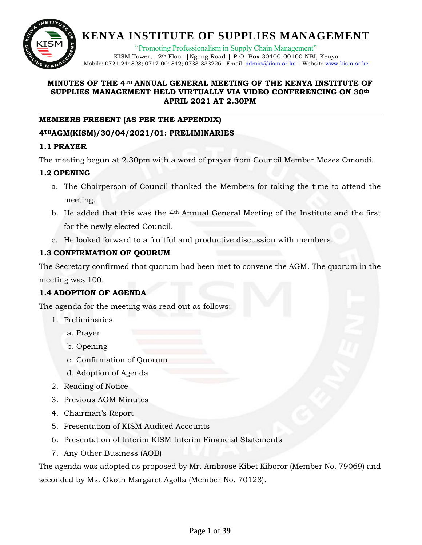

"Promoting Professionalism in Supply Chain Management" KISM Tower, 12<sup>th</sup> Floor | Ngong Road | P.O. Box 30400-00100 NBI, Kenya Mobile: 0721-244828; 0717-004842; 0733-333226| Email: [admin@kism.or.ke](mailto:admin@kism.or.ke) | Website [www.kism.or.ke](http://www.kism.or.ke/)

#### **MINUTES OF THE 4TH ANNUAL GENERAL MEETING OF THE KENYA INSTITUTE OF SUPPLIES MANAGEMENT HELD VIRTUALLY VIA VIDEO CONFERENCING ON 30th APRIL 2021 AT 2.30PM**

#### **MEMBERS PRESENT (AS PER THE APPENDIX)**

#### **4THAGM(KISM)/30/04/2021/01: PRELIMINARIES**

#### **1.1 PRAYER**

The meeting begun at 2.30pm with a word of prayer from Council Member Moses Omondi.

#### **1.2 OPENING**

- a. The Chairperson of Council thanked the Members for taking the time to attend the meeting.
- b. He added that this was the 4th Annual General Meeting of the Institute and the first for the newly elected Council.
- c. He looked forward to a fruitful and productive discussion with members.

### **1.3 CONFIRMATION OF QOURUM**

The Secretary confirmed that quorum had been met to convene the AGM. The quorum in the meeting was 100.

### **1.4 ADOPTION OF AGENDA**

The agenda for the meeting was read out as follows:

- 1. Preliminaries
	- a. Prayer
	- b. Opening
	- c. Confirmation of Quorum
	- d. Adoption of Agenda
- 2. Reading of Notice
- 3. Previous AGM Minutes
- 4. Chairman's Report
- 5. Presentation of KISM Audited Accounts
- 6. Presentation of Interim KISM Interim Financial Statements
- 7. Any Other Business (AOB)

The agenda was adopted as proposed by Mr. Ambrose Kibet Kiboror (Member No. 79069) and seconded by Ms. Okoth Margaret Agolla (Member No. 70128).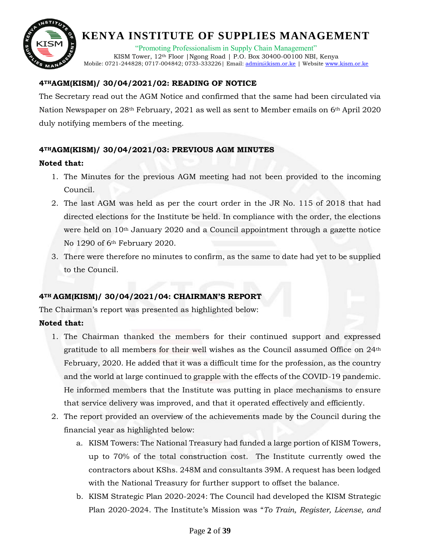

"Promoting Professionalism in Supply Chain Management"

KISM Tower, 12<sup>th</sup> Floor | Ngong Road | P.O. Box 30400-00100 NBI, Kenya Mobile: 0721-244828; 0717-004842; 0733-333226| Email: [admin@kism.or.ke](mailto:admin@kism.or.ke) | Website [www.kism.or.ke](http://www.kism.or.ke/)

### **4THAGM(KISM)/ 30/04/2021/02: READING OF NOTICE**

The Secretary read out the AGM Notice and confirmed that the same had been circulated via Nation Newspaper on 28<sup>th</sup> February, 2021 as well as sent to Member emails on 6<sup>th</sup> April 2020 duly notifying members of the meeting.

### **4THAGM(KISM)/ 30/04/2021/03: PREVIOUS AGM MINUTES**

#### **Noted that:**

- 1. The Minutes for the previous AGM meeting had not been provided to the incoming Council.
- 2. The last AGM was held as per the court order in the JR No. 115 of 2018 that had directed elections for the Institute be held. In compliance with the order, the elections were held on 10th January 2020 and a Council appointment through a gazette notice No 1290 of 6th February 2020.
- 3. There were therefore no minutes to confirm, as the same to date had yet to be supplied to the Council.

### **4TH AGM(KISM)/ 30/04/2021/04: CHAIRMAN'S REPORT**

The Chairman's report was presented as highlighted below:

### **Noted that:**

- 1. The Chairman thanked the members for their continued support and expressed gratitude to all members for their well wishes as the Council assumed Office on 24th February, 2020. He added that it was a difficult time for the profession, as the country and the world at large continued to grapple with the effects of the COVID-19 pandemic. He informed members that the Institute was putting in place mechanisms to ensure that service delivery was improved, and that it operated effectively and efficiently.
- 2. The report provided an overview of the achievements made by the Council during the financial year as highlighted below:
	- a. KISM Towers: The National Treasury had funded a large portion of KISM Towers, up to 70% of the total construction cost. The Institute currently owed the contractors about KShs. 248M and consultants 39M. A request has been lodged with the National Treasury for further support to offset the balance.
	- b. KISM Strategic Plan 2020-2024: The Council had developed the KISM Strategic Plan 2020-2024. The Institute's Mission was "*To Train, Register, License, and*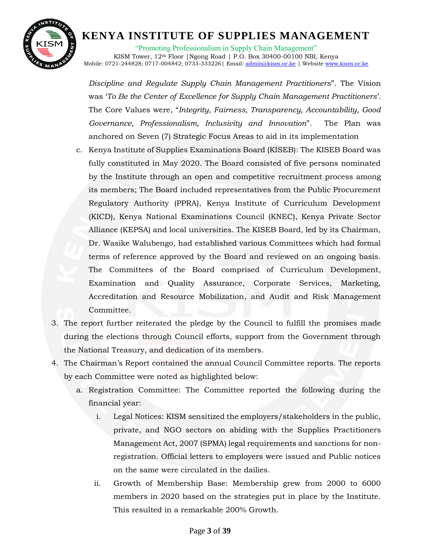

"Promoting Professionalism in Supply Chain Management" KISM Tower, 12th Floor |Ngong Road | P.O. Box 30400-00100 NBI, Kenya Mobile: 0721-244828; 0717-004842; 0733-333226 | Email: [admin@kism.or.ke](mailto:admin@kism.or.ke) | Website [www.kism.or.ke](http://www.kism.or.ke/)

*Discipline and Regulate Supply Chain Management Practitioners*". The Vision was '*To Be the Center of Excellence for Supply Chain Management Practitioners*'. The Core Values were, "*Integrity, Fairness, Transparency, Accountability, Good Governance, Professionalism, Inclusivity and Innovation*". The Plan was anchored on Seven (7) Strategic Focus Areas to aid in its implementation

- c. Kenya Institute of Supplies Examinations Board (KISEB): The KISEB Board was fully constituted in May 2020. The Board consisted of five persons nominated by the Institute through an open and competitive recruitment process among its members; The Board included representatives from the Public Procurement Regulatory Authority (PPRA), Kenya Institute of Curriculum Development (KICD), Kenya National Examinations Council (KNEC), Kenya Private Sector Alliance (KEPSA) and local universities. The KISEB Board, led by its Chairman, Dr. Wasike Walubengo, had established various Committees which had formal terms of reference approved by the Board and reviewed on an ongoing basis. The Committees of the Board comprised of Curriculum Development, Examination and Quality Assurance, Corporate Services, Marketing, Accreditation and Resource Mobilization, and Audit and Risk Management Committee.
- 3. The report further reiterated the pledge by the Council to fulfill the promises made during the elections through Council efforts, support from the Government through the National Treasury, and dedication of its members.
- 4. The Chairman's Report contained the annual Council Committee reports. The reports by each Committee were noted as highlighted below:
	- a. Registration Committee: The Committee reported the following during the financial year:
		- i. Legal Notices: KISM sensitized the employers/stakeholders in the public, private, and NGO sectors on abiding with the Supplies Practitioners Management Act, 2007 (SPMA) legal requirements and sanctions for nonregistration. Official letters to employers were issued and Public notices on the same were circulated in the dailies.
		- ii. Growth of Membership Base: Membership grew from 2000 to 6000 members in 2020 based on the strategies put in place by the Institute. This resulted in a remarkable 200% Growth.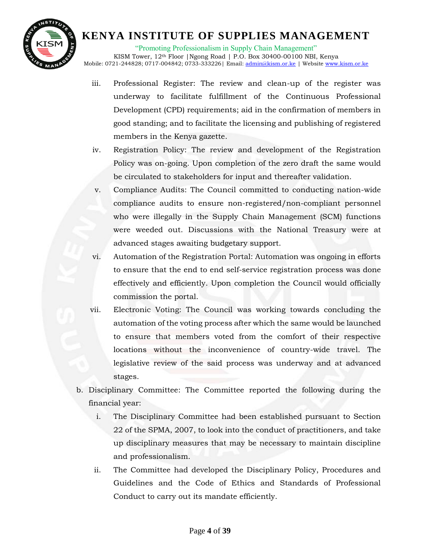

"Promoting Professionalism in Supply Chain Management"

KISM Tower, 12<sup>th</sup> Floor | Ngong Road | P.O. Box 30400-00100 NBI, Kenya Mobile: 0721-244828; 0717-004842; 0733-333226 | Email: [admin@kism.or.ke](mailto:admin@kism.or.ke) | Website [www.kism.or.ke](http://www.kism.or.ke/)

- iii. Professional Register: The review and clean-up of the register was underway to facilitate fulfillment of the Continuous Professional Development (CPD) requirements; aid in the confirmation of members in good standing; and to facilitate the licensing and publishing of registered members in the Kenya gazette.
- iv. Registration Policy: The review and development of the Registration Policy was on-going. Upon completion of the zero draft the same would be circulated to stakeholders for input and thereafter validation.
- v. Compliance Audits: The Council committed to conducting nation-wide compliance audits to ensure non-registered/non-compliant personnel who were illegally in the Supply Chain Management (SCM) functions were weeded out. Discussions with the National Treasury were at advanced stages awaiting budgetary support.
- vi. Automation of the Registration Portal: Automation was ongoing in efforts to ensure that the end to end self-service registration process was done effectively and efficiently. Upon completion the Council would officially commission the portal.
- vii. Electronic Voting: The Council was working towards concluding the automation of the voting process after which the same would be launched to ensure that members voted from the comfort of their respective locations without the inconvenience of country-wide travel. The legislative review of the said process was underway and at advanced stages.
- b. Disciplinary Committee: The Committee reported the following during the financial year:
	- i. The Disciplinary Committee had been established pursuant to Section 22 of the SPMA, 2007, to look into the conduct of practitioners, and take up disciplinary measures that may be necessary to maintain discipline and professionalism.
	- ii. The Committee had developed the Disciplinary Policy, Procedures and Guidelines and the Code of Ethics and Standards of Professional Conduct to carry out its mandate efficiently.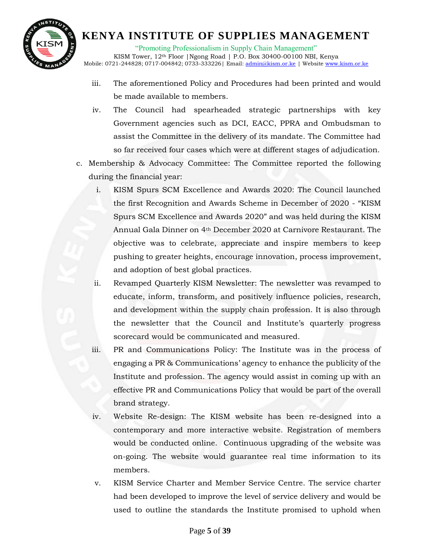

"Promoting Professionalism in Supply Chain Management"

KISM Tower, 12<sup>th</sup> Floor | Ngong Road | P.O. Box 30400-00100 NBI, Kenya Mobile: 0721-244828; 0717-004842; 0733-333226 | Email: [admin@kism.or.ke](mailto:admin@kism.or.ke) | Website [www.kism.or.ke](http://www.kism.or.ke/)

- iii. The aforementioned Policy and Procedures had been printed and would be made available to members.
- iv. The Council had spearheaded strategic partnerships with key Government agencies such as DCI, EACC, PPRA and Ombudsman to assist the Committee in the delivery of its mandate. The Committee had so far received four cases which were at different stages of adjudication.
- c. Membership & Advocacy Committee: The Committee reported the following during the financial year:
	- i. KISM Spurs SCM Excellence and Awards 2020: The Council launched the first Recognition and Awards Scheme in December of 2020 - "KISM Spurs SCM Excellence and Awards 2020" and was held during the KISM Annual Gala Dinner on 4th December 2020 at Carnivore Restaurant. The objective was to celebrate, appreciate and inspire members to keep pushing to greater heights, encourage innovation, process improvement, and adoption of best global practices.
	- ii. Revamped Quarterly KISM Newsletter: The newsletter was revamped to educate, inform, transform, and positively influence policies, research, and development within the supply chain profession. It is also through the newsletter that the Council and Institute's quarterly progress scorecard would be communicated and measured.
	- iii. PR and Communications Policy: The Institute was in the process of engaging a PR & Communications' agency to enhance the publicity of the Institute and profession. The agency would assist in coming up with an effective PR and Communications Policy that would be part of the overall brand strategy.
	- iv. Website Re-design: The KISM website has been re-designed into a contemporary and more interactive website. Registration of members would be conducted online. Continuous upgrading of the website was on-going. The website would guarantee real time information to its members.
	- v. KISM Service Charter and Member Service Centre. The service charter had been developed to improve the level of service delivery and would be used to outline the standards the Institute promised to uphold when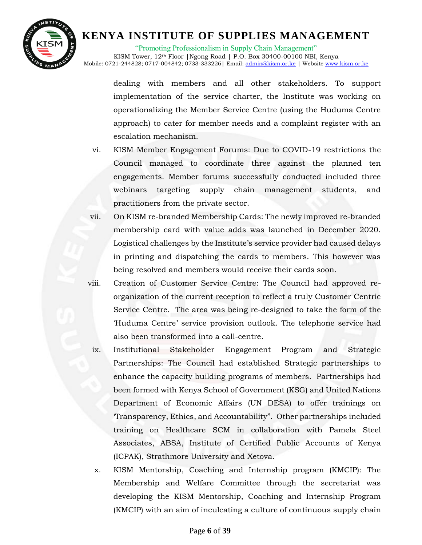

"Promoting Professionalism in Supply Chain Management"

KISM Tower, 12th Floor |Ngong Road | P.O. Box 30400-00100 NBI, Kenya Mobile: 0721-244828; 0717-004842; 0733-333226| Email: [admin@kism.or.ke](mailto:admin@kism.or.ke) | Website [www.kism.or.ke](http://www.kism.or.ke/)

> dealing with members and all other stakeholders. To support implementation of the service charter, the Institute was working on operationalizing the Member Service Centre (using the Huduma Centre approach) to cater for member needs and a complaint register with an escalation mechanism.

- vi. KISM Member Engagement Forums: Due to COVID-19 restrictions the Council managed to coordinate three against the planned ten engagements. Member forums successfully conducted included three webinars targeting supply chain management students, and practitioners from the private sector.
- vii. On KISM re-branded Membership Cards: The newly improved re-branded membership card with value adds was launched in December 2020. Logistical challenges by the Institute's service provider had caused delays in printing and dispatching the cards to members. This however was being resolved and members would receive their cards soon.
- viii. Creation of Customer Service Centre: The Council had approved reorganization of the current reception to reflect a truly Customer Centric Service Centre. The area was being re-designed to take the form of the 'Huduma Centre' service provision outlook. The telephone service had also been transformed into a call-centre.
	- ix. Institutional Stakeholder Engagement Program and Strategic Partnerships: The Council had established Strategic partnerships to enhance the capacity building programs of members. Partnerships had been formed with Kenya School of Government (KSG) and United Nations Department of Economic Affairs (UN DESA) to offer trainings on 'Transparency, Ethics, and Accountability". Other partnerships included training on Healthcare SCM in collaboration with Pamela Steel Associates, ABSA, Institute of Certified Public Accounts of Kenya (ICPAK), Strathmore University and Xetova.
		- x. KISM Mentorship, Coaching and Internship program (KMCIP): The Membership and Welfare Committee through the secretariat was developing the KISM Mentorship, Coaching and Internship Program (KMCIP) with an aim of inculcating a culture of continuous supply chain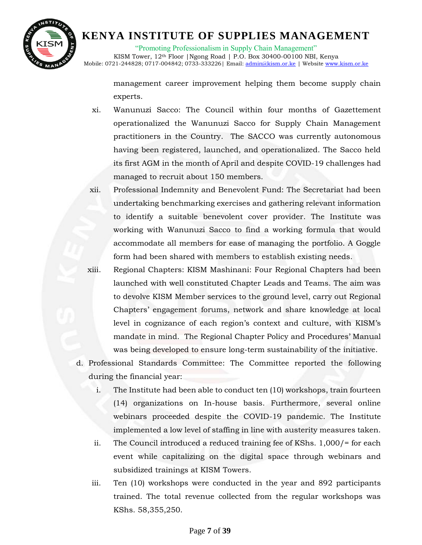

"Promoting Professionalism in Supply Chain Management" KISM Tower, 12th Floor |Ngong Road | P.O. Box 30400-00100 NBI, Kenya Mobile: 0721-244828; 0717-004842; 0733-333226 | Email: [admin@kism.or.ke](mailto:admin@kism.or.ke) | Website [www.kism.or.ke](http://www.kism.or.ke/)

management career improvement helping them become supply chain experts.

- xi. Wanunuzi Sacco: The Council within four months of Gazettement operationalized the Wanunuzi Sacco for Supply Chain Management practitioners in the Country. The SACCO was currently autonomous having been registered, launched, and operationalized. The Sacco held its first AGM in the month of April and despite COVID-19 challenges had managed to recruit about 150 members.
- xii. Professional Indemnity and Benevolent Fund: The Secretariat had been undertaking benchmarking exercises and gathering relevant information to identify a suitable benevolent cover provider. The Institute was working with Wanunuzi Sacco to find a working formula that would accommodate all members for ease of managing the portfolio. A Goggle form had been shared with members to establish existing needs.
- xiii. Regional Chapters: KISM Mashinani: Four Regional Chapters had been launched with well constituted Chapter Leads and Teams. The aim was to devolve KISM Member services to the ground level, carry out Regional Chapters' engagement forums, network and share knowledge at local level in cognizance of each region's context and culture, with KISM's mandate in mind. The Regional Chapter Policy and Procedures' Manual was being developed to ensure long-term sustainability of the initiative.
- d. Professional Standards Committee: The Committee reported the following during the financial year:
	- i. The Institute had been able to conduct ten (10) workshops, train fourteen (14) organizations on In-house basis. Furthermore, several online webinars proceeded despite the COVID-19 pandemic. The Institute implemented a low level of staffing in line with austerity measures taken.
	- ii. The Council introduced a reduced training fee of KShs. 1,000/= for each event while capitalizing on the digital space through webinars and subsidized trainings at KISM Towers.
	- iii. Ten (10) workshops were conducted in the year and 892 participants trained. The total revenue collected from the regular workshops was KShs. 58,355,250.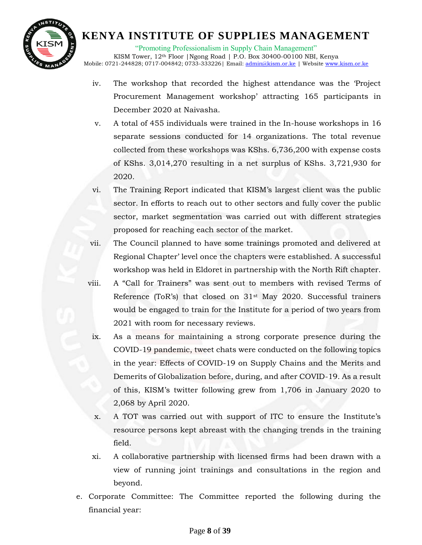

"Promoting Professionalism in Supply Chain Management"

KISM Tower, 12<sup>th</sup> Floor | Ngong Road | P.O. Box 30400-00100 NBI, Kenya Mobile: 0721-244828; 0717-004842; 0733-333226 | Email: [admin@kism.or.ke](mailto:admin@kism.or.ke) | Website [www.kism.or.ke](http://www.kism.or.ke/)

- iv. The workshop that recorded the highest attendance was the 'Project Procurement Management workshop' attracting 165 participants in December 2020 at Naivasha.
- v. A total of 455 individuals were trained in the In-house workshops in 16 separate sessions conducted for 14 organizations. The total revenue collected from these workshops was KShs. 6,736,200 with expense costs of KShs. 3,014,270 resulting in a net surplus of KShs. 3,721,930 for 2020.

vi. The Training Report indicated that KISM's largest client was the public sector. In efforts to reach out to other sectors and fully cover the public sector, market segmentation was carried out with different strategies proposed for reaching each sector of the market.

- vii. The Council planned to have some trainings promoted and delivered at Regional Chapter' level once the chapters were established. A successful workshop was held in Eldoret in partnership with the North Rift chapter.
- viii. A "Call for Trainers" was sent out to members with revised Terms of Reference (ToR's) that closed on  $31$ <sup>st</sup> May 2020. Successful trainers would be engaged to train for the Institute for a period of two years from 2021 with room for necessary reviews.
	- ix. As a means for maintaining a strong corporate presence during the COVID-19 pandemic, tweet chats were conducted on the following topics in the year: Effects of COVID-19 on Supply Chains and the Merits and Demerits of Globalization before, during, and after COVID-19. As a result of this, KISM's twitter following grew from 1,706 in January 2020 to 2,068 by April 2020.
	- x. A TOT was carried out with support of ITC to ensure the Institute's resource persons kept abreast with the changing trends in the training field.
	- xi. A collaborative partnership with licensed firms had been drawn with a view of running joint trainings and consultations in the region and beyond.
- e. Corporate Committee: The Committee reported the following during the financial year: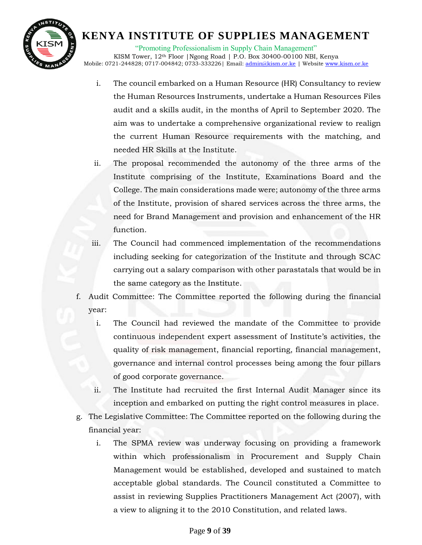

"Promoting Professionalism in Supply Chain Management" KISM Tower, 12<sup>th</sup> Floor | Ngong Road | P.O. Box 30400-00100 NBI, Kenya Mobile: 0721-244828; 0717-004842; 0733-333226| Email: [admin@kism.or.ke](mailto:admin@kism.or.ke) | Website [www.kism.or.ke](http://www.kism.or.ke/)

- i. The council embarked on a Human Resource (HR) Consultancy to review the Human Resources Instruments, undertake a Human Resources Files audit and a skills audit, in the months of April to September 2020. The aim was to undertake a comprehensive organizational review to realign the current Human Resource requirements with the matching, and needed HR Skills at the Institute.
- ii. The proposal recommended the autonomy of the three arms of the Institute comprising of the Institute, Examinations Board and the College. The main considerations made were; autonomy of the three arms of the Institute, provision of shared services across the three arms, the need for Brand Management and provision and enhancement of the HR function.
- iii. The Council had commenced implementation of the recommendations including seeking for categorization of the Institute and through SCAC carrying out a salary comparison with other parastatals that would be in the same category as the Institute.
- f. Audit Committee: The Committee reported the following during the financial year:
	- i. The Council had reviewed the mandate of the Committee to provide continuous independent expert assessment of Institute's activities, the quality of risk management, financial reporting, financial management, governance and internal control processes being among the four pillars of good corporate governance.
	- ii. The Institute had recruited the first Internal Audit Manager since its inception and embarked on putting the right control measures in place.
- g. The Legislative Committee: The Committee reported on the following during the financial year:
	- i. The SPMA review was underway focusing on providing a framework within which professionalism in Procurement and Supply Chain Management would be established, developed and sustained to match acceptable global standards. The Council constituted a Committee to assist in reviewing Supplies Practitioners Management Act (2007), with a view to aligning it to the 2010 Constitution, and related laws.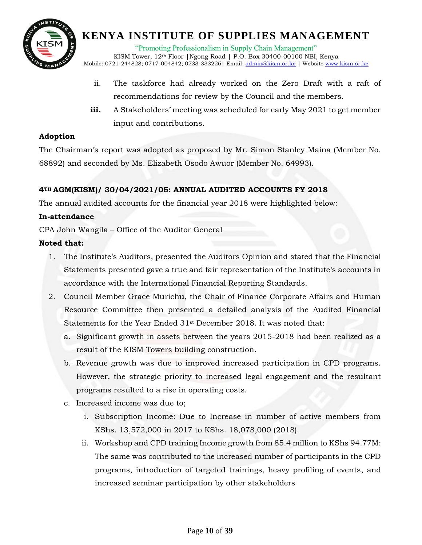

"Promoting Professionalism in Supply Chain Management"

KISM Tower, 12<sup>th</sup> Floor | Ngong Road | P.O. Box 30400-00100 NBI, Kenya Mobile: 0721-244828; 0717-004842; 0733-333226 | Email: [admin@kism.or.ke](mailto:admin@kism.or.ke) | Website [www.kism.or.ke](http://www.kism.or.ke/)

- ii. The taskforce had already worked on the Zero Draft with a raft of recommendations for review by the Council and the members.
- iii. A Stakeholders' meeting was scheduled for early May 2021 to get member input and contributions.

#### **Adoption**

The Chairman's report was adopted as proposed by Mr. Simon Stanley Maina (Member No. 68892) and seconded by Ms. Elizabeth Osodo Awuor (Member No. 64993).

### **4TH AGM(KISM)/ 30/04/2021/05: ANNUAL AUDITED ACCOUNTS FY 2018**

The annual audited accounts for the financial year 2018 were highlighted below:

#### **In-attendance**

CPA John Wangila – Office of the Auditor General

#### **Noted that:**

- 1. The Institute's Auditors, presented the Auditors Opinion and stated that the Financial Statements presented gave a true and fair representation of the Institute's accounts in accordance with the International Financial Reporting Standards.
- 2. Council Member Grace Murichu, the Chair of Finance Corporate Affairs and Human Resource Committee then presented a detailed analysis of the Audited Financial Statements for the Year Ended 31st December 2018. It was noted that:
	- a. Significant growth in assets between the years 2015-2018 had been realized as a result of the KISM Towers building construction.
	- b. Revenue growth was due to improved increased participation in CPD programs. However, the strategic priority to increased legal engagement and the resultant programs resulted to a rise in operating costs.
	- c. Increased income was due to;
		- i. Subscription Income: Due to Increase in number of active members from KShs. 13,572,000 in 2017 to KShs. 18,078,000 (2018).
		- ii. Workshop and CPD training Income growth from 85.4 million to KShs 94.77M: The same was contributed to the increased number of participants in the CPD programs, introduction of targeted trainings, heavy profiling of events, and increased seminar participation by other stakeholders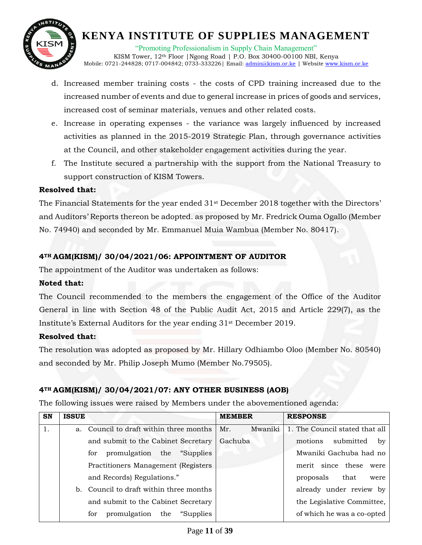

"Promoting Professionalism in Supply Chain Management" KISM Tower, 12th Floor |Ngong Road | P.O. Box 30400-00100 NBI, Kenya Mobile: 0721-244828; 0717-004842; 0733-333226| Email: [admin@kism.or.ke](mailto:admin@kism.or.ke) | Website [www.kism.or.ke](http://www.kism.or.ke/)

- d. Increased member training costs the costs of CPD training increased due to the increased number of events and due to general increase in prices of goods and services, increased cost of seminar materials, venues and other related costs.
- e. Increase in operating expenses the variance was largely influenced by increased activities as planned in the 2015-2019 Strategic Plan, through governance activities at the Council, and other stakeholder engagement activities during the year.
- f. The Institute secured a partnership with the support from the National Treasury to support construction of KISM Towers.

#### **Resolved that:**

The Financial Statements for the year ended  $31<sup>st</sup>$  December 2018 together with the Directors' and Auditors' Reports thereon be adopted. as proposed by Mr. Fredrick Ouma Ogallo (Member No. 74940) and seconded by Mr. Emmanuel Muia Wambua (Member No. 80417).

### **4TH AGM(KISM)/ 30/04/2021/06: APPOINTMENT OF AUDITOR**

The appointment of the Auditor was undertaken as follows:

### **Noted that:**

The Council recommended to the members the engagement of the Office of the Auditor General in line with Section 48 of the Public Audit Act, 2015 and Article 229(7), as the Institute's External Auditors for the year ending 31st December 2019.

### **Resolved that:**

The resolution was adopted as proposed by Mr. Hillary Odhiambo Oloo (Member No. 80540) and seconded by Mr. Philip Joseph Mumo (Member No.79505).

### **4TH AGM(KISM)/ 30/04/2021/07: ANY OTHER BUSINESS (AOB)**

The following issues were raised by Members under the abovementioned agenda:

| <b>SN</b> | <b>ISSUE</b> |                                          | <b>MEMBER</b>  | <b>RESPONSE</b>                |
|-----------|--------------|------------------------------------------|----------------|--------------------------------|
| 1.        | a.           | Council to draft within three months     | Mr.<br>Mwaniki | 1. The Council stated that all |
|           |              | and submit to the Cabinet Secretary      | Gachuba        | submitted<br>motions<br>by     |
|           |              | promulgation the "Supplies"<br>for       |                | Mwaniki Gachuba had no         |
|           |              | Practitioners Management (Registers      |                | merit since these<br>were      |
|           |              | and Records) Regulations."               |                | proposals<br>that<br>were      |
|           | b.           | Council to draft within three months     |                | already under review by        |
|           |              | and submit to the Cabinet Secretary      |                | the Legislative Committee,     |
|           |              | promulgation<br>the<br>"Supplies"<br>for |                | of which he was a co-opted     |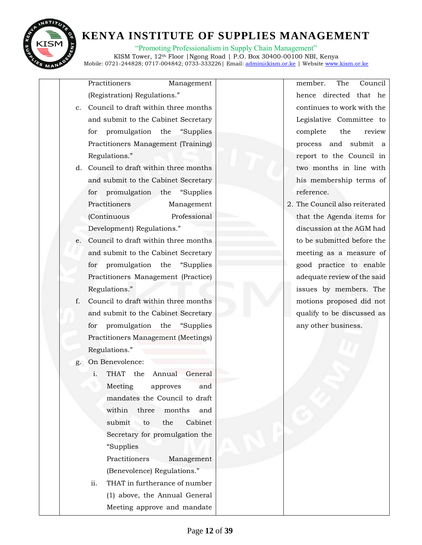

"Promoting Professionalism in Supply Chain Management"

KISM Tower, 12th Floor |Ngong Road | P.O. Box 30400-00100 NBI, Kenya Mobile: 0721-244828; 0717-004842; 0733-333226 | Email: [admin@kism.or.ke](mailto:admin@kism.or.ke) | Website [www.kism.or.ke](http://www.kism.or.ke/)

Practitioners Management (Registration) Regulations."

- c. Council to draft within three months and submit to the Cabinet Secretary for promulgation the "Supplies Practitioners Management (Training) Regulations."
- d. Council to draft within three months and submit to the Cabinet Secretary for promulgation the "Supplies Practitioners Management (Continuous Professional Development) Regulations."
- e. Council to draft within three months and submit to the Cabinet Secretary for promulgation the "Supplies Practitioners Management (Practice) Regulations."
- f. Council to draft within three months and submit to the Cabinet Secretary for promulgation the "Supplies Practitioners Management (Meetings) Regulations."
- g. On Benevolence:
	- i. THAT the Annual General Meeting approves and mandates the Council to draft within three months and submit to the Cabinet Secretary for promulgation the "Supplies

Practitioners Management (Benevolence) Regulations."

ii. THAT in furtherance of number (1) above, the Annual General Meeting approve and mandate member. The Council hence directed that he continues to work with the Legislative Committee to complete the review process and submit a report to the Council in two months in line with his membership terms of reference.

2. The Council also reiterated that the Agenda items for discussion at the AGM had to be submitted before the meeting as a measure of good practice to enable adequate review of the said issues by members. The motions proposed did not qualify to be discussed as any other business.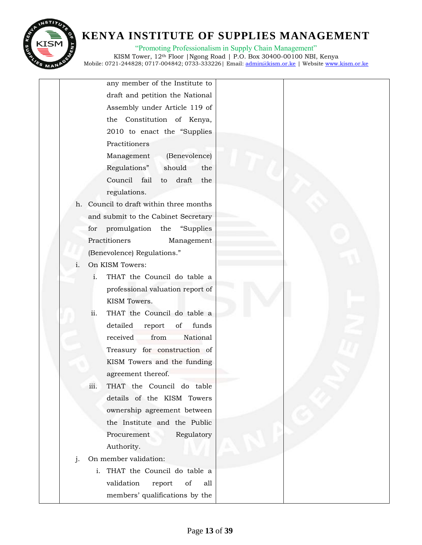

"Promoting Professionalism in Supply Chain Management" KISM Tower, 12th Floor |Ngong Road | P.O. Box 30400-00100 NBI, Kenya

Mobile: 0721-244828; 0717-004842; 0733-333226| Email: [admin@kism.or.ke](mailto:admin@kism.or.ke) | Website [www.kism.or.ke](http://www.kism.or.ke/)

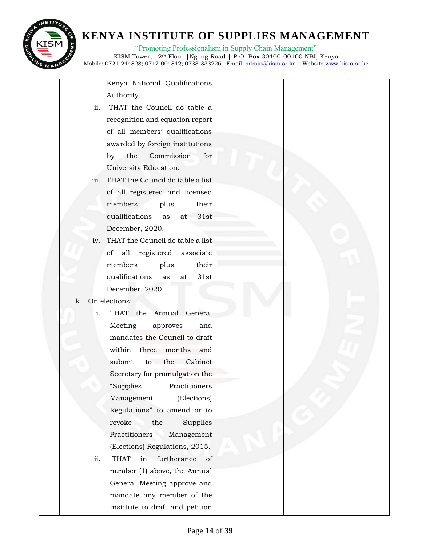

"Promoting Professionalism in Supply Chain Management"

KISM Tower, 12th Floor |Ngong Road | P.O. Box 30400-00100 NBI, Kenya Mobile: 0721-244828; 0717-004842; 0733-333226| Email: [admin@kism.or.ke](mailto:admin@kism.or.ke) | Website [www.kism.or.ke](http://www.kism.or.ke/)

Kenya National Qualifications Authority.

- ii. THAT the Council do table a recognition and equation report of all members' qualifications awarded by foreign institutions by the Commission for University Education.
- iii. THAT the Council do table a list of all registered and licensed members plus their qualifications as at 31st December, 2020.
- iv. THAT the Council do table a list of all registered associate members plus their qualifications as at 31st December, 2020.

### k. On elections:

- i. THAT the Annual General Meeting approves and mandates the Council to draft within three months and submit to the Cabinet Secretary for promulgation the "Supplies Practitioners Management (Elections) Regulations" to amend or to revoke the Supplies Practitioners Management (Elections) Regulations, 2015.
- ii. THAT in furtherance of number (1) above, the Annual General Meeting approve and mandate any member of the Institute to draft and petition

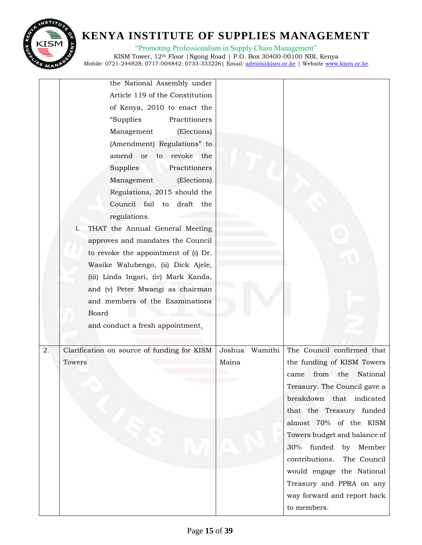

"Promoting Professionalism in Supply Chain Management" KISM Tower, 12th Floor |Ngong Road | P.O. Box 30400-00100 NBI, Kenya Mobile: 0721-244828; 0717-004842; 0733-333226 | Email: <u>admin@kism.or.ke</u> | Website <u>www.kism.or.ke</u>

|    | the National Assembly under                 |                   |                              |
|----|---------------------------------------------|-------------------|------------------------------|
|    | Article 119 of the Constitution             |                   |                              |
|    | of Kenya, 2010 to enact the                 |                   |                              |
|    | Practitioners<br>"Supplies                  |                   |                              |
|    | Management<br>(Elections)                   |                   |                              |
|    | (Amendment) Regulations" to                 |                   |                              |
|    | amend or<br>to revoke the                   |                   |                              |
|    | Supplies<br>Practitioners                   |                   |                              |
|    | (Elections)<br>Management                   |                   |                              |
|    | Regulations, 2015 should the                |                   |                              |
|    | Council fail to draft the                   |                   |                              |
|    | regulations.                                |                   |                              |
|    | THAT the Annual General Meeting<br>1.       |                   |                              |
|    | approves and mandates the Council           |                   |                              |
|    | to revoke the appointment of (i) Dr.        |                   |                              |
|    | Wasike Walubengo, (ii) Dick Ajele,          |                   |                              |
|    | (iii) Linda Ingari, (iv) Mark Kanda,        |                   |                              |
|    | and (v) Peter Mwangi as chairman            |                   |                              |
|    | and members of the Examinations             |                   |                              |
|    | Board                                       |                   |                              |
|    | and conduct a fresh appointment.            |                   |                              |
|    |                                             |                   |                              |
| 2. | Clarification on source of funding for KISM | Joshua<br>Wamithi | The Council confirmed that   |
|    | Towers                                      | Maina             | the funding of KISM Towers   |
|    |                                             |                   | from the<br>National<br>came |
|    |                                             |                   | Treasury. The Council gave a |
|    |                                             |                   | breakdown that indicated     |
|    |                                             |                   | that the Treasury funded     |
|    |                                             |                   | almost 70% of the KISM       |
|    |                                             |                   | Towers budget and balance of |
|    |                                             |                   | funded<br>by Member<br>30%   |
|    |                                             |                   | contributions. The Council   |
|    |                                             |                   | would engage the National    |
|    |                                             |                   | Treasury and PPRA on any     |
|    |                                             |                   | way forward and report back  |
|    |                                             |                   | to members.                  |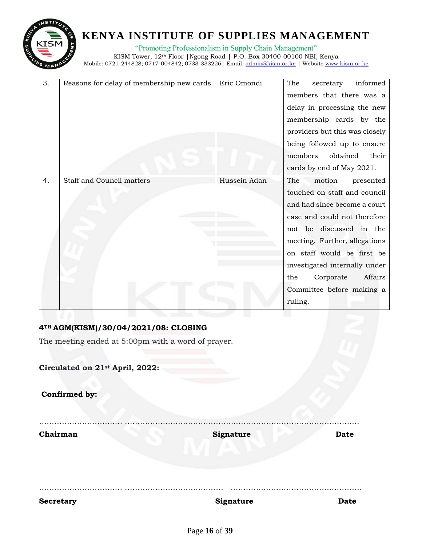

"Promoting Professionalism in Supply Chain Management" KISM Tower, 12th Floor |Ngong Road | P.O. Box 30400-00100 NBI, Kenya Mobile: 0721-244828; 0717-004842; 0733-333226 | Email: <u>admin@kism.or.ke</u> | Website <u>www.kism.or.ke</u>

| 3. | Reasons for delay of membership new cards | Eric Omondi  | The<br>informed<br>secretary   |
|----|-------------------------------------------|--------------|--------------------------------|
|    |                                           |              | members that there was a       |
|    |                                           |              | delay in processing the new    |
|    |                                           |              | membership cards by the        |
|    |                                           |              | providers but this was closely |
|    |                                           |              |                                |
|    |                                           |              | being followed up to ensure    |
|    |                                           |              | members<br>obtained<br>their   |
|    |                                           |              | cards by end of May 2021.      |
| 4. | <b>Staff and Council matters</b>          | Hussein Adan | The<br>motion<br>presented     |
|    |                                           |              | touched on staff and council   |
|    |                                           |              | and had since become a court   |
|    |                                           |              | case and could not therefore   |
|    |                                           |              | not be discussed in the        |
|    |                                           |              | meeting. Further, allegations  |
|    |                                           |              | on staff would be first be     |
|    |                                           |              | investigated internally under  |
|    |                                           |              | Corporate<br>Affairs<br>the    |
|    |                                           |              | Committee before making a      |
|    |                                           |              | ruling.                        |
|    |                                           |              |                                |

### **4TH AGM(KISM)/30/04/2021/08: CLOSING**

The meeting ended at 5:00pm with a word of prayer.

| <b>Secretary</b>                | Signature        | <b>Date</b> |
|---------------------------------|------------------|-------------|
| Chairman                        | <b>Signature</b> | <b>Date</b> |
| Confirmed by:                   |                  |             |
| Circulated on 21st April, 2022: |                  |             |
|                                 |                  |             |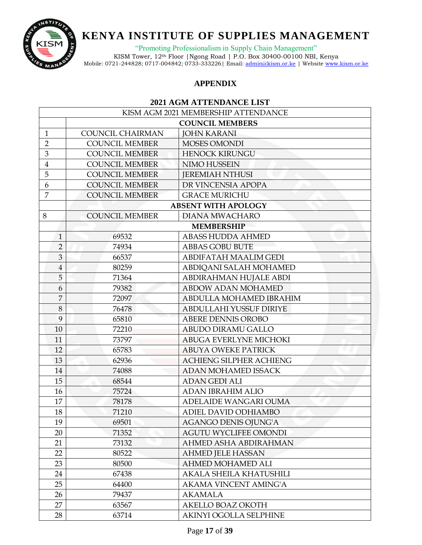

"Promoting Professionalism in Supply Chain Management"

KISM Tower, 12th Floor |Ngong Road | P.O. Box 30400-00100 NBI, Kenya Mobile: 0721-244828; 0717-004842; 0733-333226 | Email: <u>admin@kism.or.ke</u> | Website <u>www.kism.or.ke</u>

### **APPENDIX**

#### **2021 AGM ATTENDANCE LIST**

| KISM AGM 2021 MEMBERSHIP ATTENDANCE |                         |                                |  |
|-------------------------------------|-------------------------|--------------------------------|--|
|                                     |                         | <b>COUNCIL MEMBERS</b>         |  |
| $\mathbf{1}$                        | <b>COUNCIL CHAIRMAN</b> | <b>JOHN KARANI</b>             |  |
| $\overline{2}$                      | <b>COUNCIL MEMBER</b>   | <b>MOSES OMONDI</b>            |  |
| 3                                   | <b>COUNCIL MEMBER</b>   | <b>HENOCK KIRUNGU</b>          |  |
| $\overline{4}$                      | <b>COUNCIL MEMBER</b>   | NIMO HUSSEIN                   |  |
| 5                                   | <b>COUNCIL MEMBER</b>   | <b>JEREMIAH NTHUSI</b>         |  |
| 6                                   | <b>COUNCIL MEMBER</b>   | DR VINCENSIA APOPA             |  |
| $\overline{7}$                      | <b>COUNCIL MEMBER</b>   | <b>GRACE MURICHU</b>           |  |
|                                     |                         | <b>ABSENT WITH APOLOGY</b>     |  |
| 8                                   | <b>COUNCIL MEMBER</b>   | <b>DIANA MWACHARO</b>          |  |
|                                     |                         | <b>MEMBERSHIP</b>              |  |
| $\mathbf{1}$                        | 69532                   | ABASS HUDDA AHMED              |  |
| $\overline{2}$                      | 74934                   | <b>ABBAS GOBU BUTE</b>         |  |
| 3                                   | 66537                   | ABDIFATAH MAALIM GEDI          |  |
| $\overline{4}$                      | 80259                   | ABDIQANI SALAH MOHAMED         |  |
| 5                                   | 71364                   | ABDIRAHMAN HUJALE ABDI         |  |
| 6                                   | 79382                   | <b>ABDOW ADAN MOHAMED</b>      |  |
| $\overline{7}$                      | 72097                   | ABDULLA MOHAMED IBRAHIM        |  |
| $\,8\,$                             | 76478                   | ABDULLAHI YUSSUF DIRIYE        |  |
| 9                                   | 65810                   | <b>ABERE DENNIS OROBO</b>      |  |
| 10                                  | 72210                   | ABUDO DIRAMU GALLO             |  |
| 11                                  | 73797                   | ABUGA EVERLYNE MICHOKI         |  |
| 12                                  | 65783                   | <b>ABUYA OWEKE PATRICK</b>     |  |
| 13                                  | 62936                   | <b>ACHIENG SILPHER ACHIENG</b> |  |
| 14                                  | 74088                   | ADAN MOHAMED ISSACK            |  |
| 15                                  | 68544                   | <b>ADAN GEDI ALI</b>           |  |
| 16                                  | 75724                   | <b>ADAN IBRAHIM ALIO</b>       |  |
| 17                                  | 78178                   | ADELAIDE WANGARI OUMA          |  |
| 18                                  | 71210                   | ADIEL DAVID ODHIAMBO           |  |
| 19                                  | 69501                   | <b>AGANGO DENIS OJUNG'A</b>    |  |
| 20                                  | 71352                   | <b>AGUTU WYCLIFEE OMONDI</b>   |  |
| 21                                  | 73132                   | AHMED ASHA ABDIRAHMAN          |  |
| 22                                  | 80522                   | <b>AHMED JELE HASSAN</b>       |  |
| 23                                  | 80500                   | AHMED MOHAMED ALI              |  |
| 24                                  | 67438                   | AKALA SHEILA KHATUSHILI        |  |
| 25                                  | 64400                   | <b>AKAMA VINCENT AMING'A</b>   |  |
| 26                                  | 79437                   | <b>AKAMALA</b>                 |  |
| 27                                  | 63567                   | AKELLO BOAZ OKOTH              |  |
| 28                                  | 63714                   | AKINYI OGOLLA SELPHINE         |  |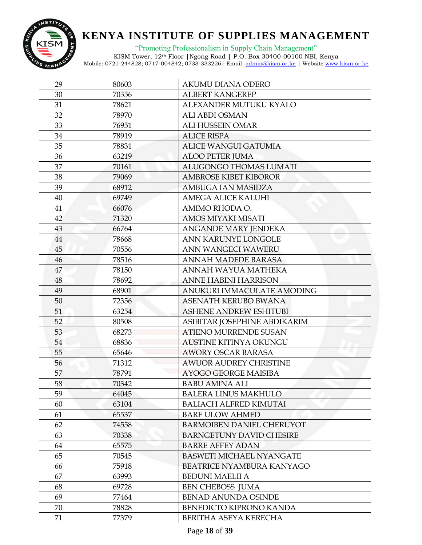

"Promoting Professionalism in Supply Chain Management"

| 29 | 80603 | AKUMU DIANA ODERO                |
|----|-------|----------------------------------|
| 30 | 70356 | <b>ALBERT KANGEREP</b>           |
| 31 | 78621 | ALEXANDER MUTUKU KYALO           |
| 32 | 78970 | <b>ALI ABDI OSMAN</b>            |
| 33 | 76951 | <b>ALI HUSSEIN OMAR</b>          |
| 34 | 78919 | <b>ALICE RISPA</b>               |
| 35 | 78831 | <b>ALICE WANGUI GATUMIA</b>      |
| 36 | 63219 | <b>ALOO PETER JUMA</b>           |
| 37 | 70161 | ALUGONGO THOMAS LUMATI           |
| 38 | 79069 | <b>AMBROSE KIBET KIBOROR</b>     |
| 39 | 68912 | AMBUGA IAN MASIDZA               |
| 40 | 69749 | <b>AMEGA ALICE KALUHI</b>        |
| 41 | 66076 | AMIMO RHODA O.                   |
| 42 | 71320 | AMOS MIYAKI MISATI               |
| 43 | 66764 | ANGANDE MARY JENDEKA             |
| 44 | 78668 | ANN KARUNYE LONGOLE              |
| 45 | 70556 | ANN WANGECI WAWERU               |
| 46 | 78516 | ANNAH MADEDE BARASA              |
| 47 | 78150 | ANNAH WAYUA MATHEKA              |
| 48 | 78692 | <b>ANNE HABINI HARRISON</b>      |
| 49 | 68901 | ANUKURI IMMACULATE AMODING       |
| 50 | 72356 | <b>ASENATH KERUBO BWANA</b>      |
| 51 | 63254 | <b>ASHENE ANDREW ESHITUBI</b>    |
| 52 | 80508 | ASIBITAR JOSEPHINE ABDIKARIM     |
| 53 | 68273 | ATIENO MURRENDE SUSAN            |
| 54 | 68836 | <b>AUSTINE KITINYA OKUNGU</b>    |
| 55 | 65646 | <b>AWORY OSCAR BARASA</b>        |
| 56 | 71312 | <b>AWUOR AUDREY CHRISTINE</b>    |
| 57 | 78791 | AYOGO GEORGE MAISIBA             |
| 58 | 70342 | <b>BABU AMINA ALI</b>            |
| 59 | 64045 | <b>BALERA LINUS MAKHULO</b>      |
| 60 | 63104 | <b>BALIACH ALFRED KIMUTAI</b>    |
| 61 | 65537 | <b>BARE ULOW AHMED</b>           |
| 62 | 74558 | <b>BARMOIBEN DANIEL CHERUYOT</b> |
| 63 | 70338 | <b>BARNGETUNY DAVID CHESIRE</b>  |
| 64 | 65575 | <b>BARRE AFFEY ADAN</b>          |
| 65 | 70545 | <b>BASWETI MICHAEL NYANGATE</b>  |
| 66 | 75918 | <b>BEATRICE NYAMBURA KANYAGO</b> |
| 67 | 63993 | <b>BEDUNI MAELII A</b>           |
| 68 | 69728 | <b>BEN CHEBOSS JUMA</b>          |
| 69 | 77464 | <b>BENAD ANUNDA OSINDE</b>       |
| 70 | 78828 | BENEDICTO KIPRONO KANDA          |
| 71 | 77379 | BERITHA ASEYA KERECHA            |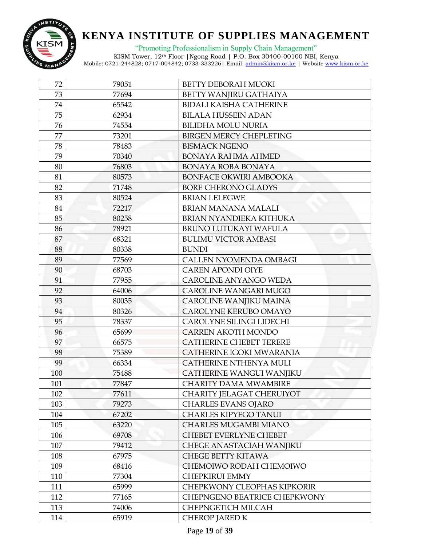

"Promoting Professionalism in Supply Chain Management"

| 72  | 79051 | <b>BETTY DEBORAH MUOKI</b>     |
|-----|-------|--------------------------------|
| 73  | 77694 | BETTY WANJIRU GATHAIYA         |
| 74  | 65542 | <b>BIDALI KAISHA CATHERINE</b> |
| 75  | 62934 | <b>BILALA HUSSEIN ADAN</b>     |
| 76  | 74554 | <b>BILIDHA MOLU NURIA</b>      |
| 77  | 73201 | <b>BIRGEN MERCY CHEPLETING</b> |
| 78  | 78483 | <b>BISMACK NGENO</b>           |
| 79  | 70340 | <b>BONAYA RAHMA AHMED</b>      |
| 80  | 76803 | BONAYA ROBA BONAYA             |
| 81  | 80573 | BONFACE OKWIRI AMBOOKA         |
| 82  | 71748 | <b>BORE CHERONO GLADYS</b>     |
| 83  | 80524 | <b>BRIAN LELEGWE</b>           |
| 84  | 72217 | BRIAN MANANA MALALI            |
| 85  | 80258 | BRIAN NYANDIEKA KITHUKA        |
| 86  | 78921 | BRUNO LUTUKAYI WAFULA          |
| 87  | 68321 | <b>BULIMU VICTOR AMBASI</b>    |
| 88  | 80338 | <b>BUNDI</b>                   |
| 89  | 77569 | <b>CALLEN NYOMENDA OMBAGI</b>  |
| 90  | 68703 | <b>CAREN APONDI OIYE</b>       |
| 91  | 77955 | CAROLINE ANYANGO WEDA          |
| 92  | 64006 | CAROLINE WANGARI MUGO          |
| 93  | 80035 | CAROLINE WANJIKU MAINA         |
| 94  | 80326 | CAROLYNE KERUBO OMAYO          |
| 95  | 78337 | CAROLYNE SILINGI LIDECHI       |
| 96  | 65699 | CARREN AKOTH MONDO             |
| 97  | 66575 | <b>CATHERINE CHEBET TERERE</b> |
| 98  | 75389 | CATHERINE IGOKI MWARANIA       |
| 99  | 66334 | CATHERINE NTHENYA MULI         |
| 100 | 75488 | CATHERINE WANGUI WANJIKU       |
| 101 | 77847 | <b>CHARITY DAMA MWAMBIRE</b>   |
| 102 | 77611 | CHARITY JELAGAT CHERUIYOT      |
| 103 | 79273 | <b>CHARLES EVANS OJARO</b>     |
| 104 | 67202 | <b>CHARLES KIPYEGO TANUI</b>   |
| 105 | 63220 | <b>CHARLES MUGAMBI MIANO</b>   |
| 106 | 69708 | CHEBET EVERLYNE CHEBET         |
| 107 | 79412 | CHEGE ANASTACIAH WANJIKU       |
| 108 | 67975 | <b>CHEGE BETTY KITAWA</b>      |
| 109 | 68416 | CHEMOIWO RODAH CHEMOIWO        |
| 110 | 77304 | <b>CHEPKIRUI EMMY</b>          |
| 111 | 65999 | CHEPKWONY CLEOPHAS KIPKORIR    |
| 112 | 77165 | CHEPNGENO BEATRICE CHEPKWONY   |
| 113 | 74006 | <b>CHEPNGETICH MILCAH</b>      |
| 114 | 65919 | <b>CHEROP JARED K</b>          |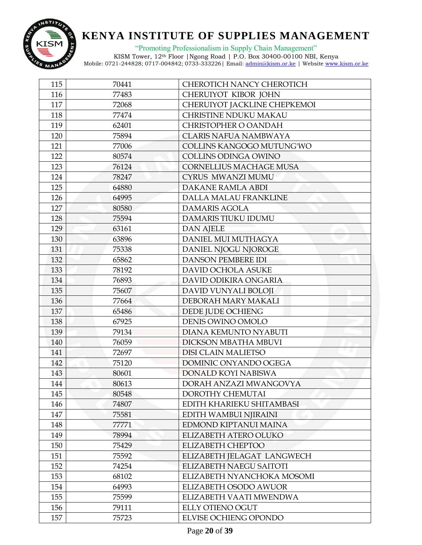

"Promoting Professionalism in Supply Chain Management"

| 115 | 70441 | CHEROTICH NANCY CHEROTICH      |
|-----|-------|--------------------------------|
| 116 | 77483 | CHERUIYOT KIBOR JOHN           |
| 117 | 72068 | CHERUIYOT JACKLINE CHEPKEMOI   |
| 118 | 77474 | <b>CHRISTINE NDUKU MAKAU</b>   |
| 119 | 62401 | CHRISTOPHER O OANDAH           |
| 120 | 75894 | <b>CLARIS NAFUA NAMBWAYA</b>   |
| 121 | 77006 | COLLINS KANGOGO MUTUNG'WO      |
| 122 | 80574 | <b>COLLINS ODINGA OWINO</b>    |
| 123 | 76124 | <b>CORNELLIUS MACHAGE MUSA</b> |
| 124 | 78247 | CYRUS MWANZI MUMU              |
| 125 | 64880 | <b>DAKANE RAMLA ABDI</b>       |
| 126 | 64995 | DALLA MALAU FRANKLINE          |
| 127 | 80580 | <b>DAMARIS AGOLA</b>           |
| 128 | 75594 | <b>DAMARIS TIUKU IDUMU</b>     |
| 129 | 63161 | <b>DAN AJELE</b>               |
| 130 | 63896 | DANIEL MUI MUTHAGYA            |
| 131 | 75338 | DANIEL NJOGU NJOROGE           |
| 132 | 65862 | <b>DANSON PEMBERE IDI</b>      |
| 133 | 78192 | DAVID OCHOLA ASUKE             |
| 134 | 76893 | DAVID ODIKIRA ONGARIA          |
| 135 | 75607 | DAVID VUNYALI BOLOJI           |
| 136 | 77664 | DEBORAH MARY MAKALI            |
| 137 | 65486 | DEDE JUDE OCHIENG              |
| 138 | 67925 | DENIS OWINO OMOLO              |
| 139 | 79134 | DIANA KEMUNTO NYABUTI          |
| 140 | 76059 | DICKSON MBATHA MBUVI           |
| 141 | 72697 | <b>DISI CLAIN MALIETSO</b>     |
| 142 | 75120 | DOMINIC ONYANDO OGEGA          |
| 143 | 80601 | DONALD KOYI NABISWA            |
| 144 | 80613 | DORAH ANZAZI MWANGOVYA         |
| 145 | 80548 | DOROTHY CHEMUTAI               |
| 146 | 74807 | EDITH KHARIEKU SHITAMBASI      |
| 147 | 75581 | EDITH WAMBUI NJIRAINI          |
| 148 | 77771 | EDMOND KIPTANUI MAINA          |
| 149 | 78994 | ELIZABETH ATERO OLUKO          |
| 150 | 75429 | <b>ELIZABETH CHEPTOO</b>       |
| 151 | 75592 | ELIZABETH JELAGAT LANGWECH     |
| 152 | 74254 | <b>ELIZABETH NAEGU SAITOTI</b> |
| 153 | 68102 | ELIZABETH NYANCHOKA MOSOMI     |
| 154 | 64993 | ELIZABETH OSODO AWUOR          |
| 155 | 75599 | ELIZABETH VAATI MWENDWA        |
| 156 | 79111 | <b>ELLY OTIENO OGUT</b>        |
| 157 | 75723 | ELVISE OCHIENG OPONDO          |
|     |       |                                |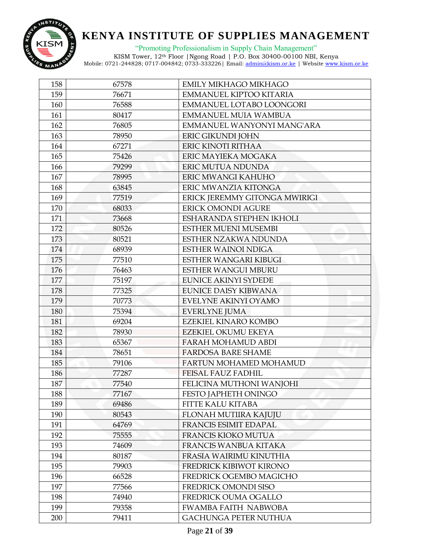

"Promoting Professionalism in Supply Chain Management"

| 158 | 67578 | <b>EMILY MIKHAGO MIKHAGO</b>  |
|-----|-------|-------------------------------|
| 159 | 76671 | EMMANUEL KIPTOO KITARIA       |
| 160 | 76588 | EMMANUEL LOTABO LOONGORI      |
| 161 | 80417 | <b>EMMANUEL MUIA WAMBUA</b>   |
| 162 | 76805 | EMMANUEL WANYONYI MANG'ARA    |
| 163 | 78950 | ERIC GIKUNDI JOHN             |
| 164 | 67271 | ERIC KINOTI RITHAA            |
| 165 | 75426 | ERIC MAYIEKA MOGAKA           |
| 166 | 79299 | <b>ERIC MUTUA NDUNDA</b>      |
| 167 | 78995 | ERIC MWANGI KAHUHO            |
| 168 | 63845 | ERIC MWANZIA KITONGA          |
| 169 | 77519 | ERICK JEREMMY GITONGA MWIRIGI |
| 170 | 68033 | <b>ERICK OMONDI AGURE</b>     |
| 171 | 73668 | ESHARANDA STEPHEN IKHOLI      |
| 172 | 80526 | <b>ESTHER MUENI MUSEMBI</b>   |
| 173 | 80521 | ESTHER NZAKWA NDUNDA          |
| 174 | 68939 | <b>ESTHER WAINOI NDIGA</b>    |
| 175 | 77510 | ESTHER WANGARI KIBUGI         |
| 176 | 76463 | <b>ESTHER WANGUI MBURU</b>    |
| 177 | 75197 | <b>EUNICE AKINYI SYDEDE</b>   |
| 178 | 77325 | <b>EUNICE DAISY KIBWANA</b>   |
| 179 | 70773 | EVELYNE AKINYI OYAMO          |
| 180 | 75394 | <b>EVERLYNE JUMA</b>          |
| 181 | 69204 | EZEKIEL KINARO KOMBO          |
| 182 | 78930 | EZEKIEL OKUMU EKEYA           |
| 183 | 65367 | <b>FARAH MOHAMUD ABDI</b>     |
| 184 | 78651 | <b>FARDOSA BARE SHAME</b>     |
| 185 | 79106 | FARTUN MOHAMED MOHAMUD        |
| 186 | 77287 | FEISAL FAUZ FADHIL            |
| 187 | 77540 | FELICINA MUTHONI WANJOHI      |
| 188 | 77167 | FESTO JAPHETH ONINGO          |
| 189 | 69486 | <b>FITTE KALU KITABA</b>      |
| 190 | 80543 | FLONAH MUTIIRA KAJUJU         |
| 191 | 64769 | <b>FRANCIS ESIMIT EDAPAL</b>  |
| 192 | 75555 | FRANCIS KIOKO MUTUA           |
| 193 | 74609 | <b>FRANCIS WANBUA KITAKA</b>  |
| 194 | 80187 | FRASIA WAIRIMU KINUTHIA       |
| 195 | 79903 | FREDRICK KIBIWOT KIRONO       |
| 196 | 66528 | FREDRICK OGEMBO MAGICHO       |
| 197 | 77566 | FREDRICK OMONDI SISO          |
| 198 | 74940 | FREDRICK OUMA OGALLO          |
| 199 | 79358 | <b>FWAMBA FAITH NABWOBA</b>   |
| 200 | 79411 | <b>GACHUNGA PETER NUTHUA</b>  |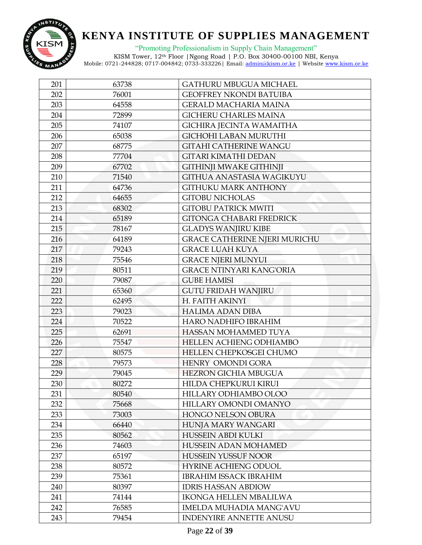

"Promoting Professionalism in Supply Chain Management"

| 201 | 63738 | <b>GATHURU MBUGUA MICHAEL</b>        |
|-----|-------|--------------------------------------|
| 202 | 76001 | <b>GEOFFREY NKONDI BATUIBA</b>       |
| 203 | 64558 | <b>GERALD MACHARIA MAINA</b>         |
| 204 | 72899 | <b>GICHERU CHARLES MAINA</b>         |
| 205 | 74107 | <b>GICHIRA JECINTA WAMAITHA</b>      |
| 206 | 65038 | <b>GICHOHI LABAN MURUTHI</b>         |
| 207 | 68775 | <b>GITAHI CATHERINE WANGU</b>        |
| 208 | 77704 | <b>GITARI KIMATHI DEDAN</b>          |
| 209 | 67702 | <b>GITHINJI MWAKE GITHINJI</b>       |
| 210 | 71540 | GITHUA ANASTASIA WAGIKUYU            |
| 211 | 64736 | <b>GITHUKU MARK ANTHONY</b>          |
| 212 | 64655 | <b>GITOBU NICHOLAS</b>               |
| 213 | 68302 | <b>GITOBU PATRICK MWITI</b>          |
| 214 | 65189 | <b>GITONGA CHABARI FREDRICK</b>      |
| 215 | 78167 | <b>GLADYS WANJIRU KIBE</b>           |
| 216 | 64189 | <b>GRACE CATHERINE NJERI MURICHU</b> |
| 217 | 79243 | <b>GRACE LUAH KUYA</b>               |
| 218 | 75546 | <b>GRACE NJERI MUNYUI</b>            |
| 219 | 80511 | <b>GRACE NTINYARI KANG'ORIA</b>      |
| 220 | 79087 | <b>GUBE HAMISI</b>                   |
| 221 | 65360 | <b>GUTU FRIDAH WANJIRU</b>           |
| 222 | 62495 | H. FAITH AKINYI                      |
| 223 | 79023 | <b>HALIMA ADAN DIBA</b>              |
| 224 | 70522 | <b>HARO NADHIFO IBRAHIM</b>          |
| 225 | 62691 | HASSAN MOHAMMED TUYA                 |
| 226 | 75547 | HELLEN ACHIENG ODHIAMBO              |
| 227 | 80575 | HELLEN CHEPKOSGEI CHUMO              |
| 228 | 79573 | HENRY OMONDI GORA                    |
| 229 | 79045 | <b>HEZRON GICHIA MBUGUA</b>          |
| 230 | 80272 | HILDA CHEPKURUI KIRUI                |
| 231 | 80540 | HILLARY ODHIAMBO OLOO                |
| 232 | 75668 | HILLARY OMONDI OMANYO                |
| 233 | 73003 | HONGO NELSON OBURA                   |
| 234 | 66440 | HUNJA MARY WANGARI                   |
| 235 | 80562 | HUSSEIN ABDI KULKI                   |
| 236 | 74603 | <b>HUSSEIN ADAN MOHAMED</b>          |
| 237 | 65197 | <b>HUSSEIN YUSSUF NOOR</b>           |
| 238 | 80572 | <b>HYRINE ACHIENG ODUOL</b>          |
| 239 | 75361 | <b>IBRAHIM ISSACK IBRAHIM</b>        |
| 240 | 80397 | <b>IDRIS HASSAN ABDIOW</b>           |
| 241 | 74144 | <b>IKONGA HELLEN MBALILWA</b>        |
| 242 | 76585 | <b>IMELDA MUHADIA MANG'AVU</b>       |
| 243 | 79454 | <b>INDENYIRE ANNETTE ANUSU</b>       |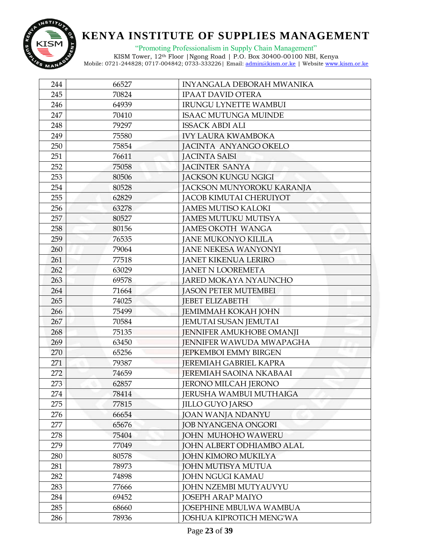

"Promoting Professionalism in Supply Chain Management"

| 244 | 66527 | INYANGALA DEBORAH MWANIKA        |
|-----|-------|----------------------------------|
| 245 | 70824 | <b>IPAAT DAVID OTERA</b>         |
| 246 | 64939 | <b>IRUNGU LYNETTE WAMBUI</b>     |
| 247 | 70410 | <b>ISAAC MUTUNGA MUINDE</b>      |
| 248 | 79297 | <b>ISSACK ABDI ALI</b>           |
| 249 | 75580 | <b>IVY LAURA KWAMBOKA</b>        |
| 250 | 75854 | JACINTA ANYANGO OKELO            |
| 251 | 76611 | <b>JACINTA SAISI</b>             |
| 252 | 75058 | <b>JACINTER SANYA</b>            |
| 253 | 80506 | <b>JACKSON KUNGU NGIGI</b>       |
| 254 | 80528 | JACKSON MUNYOROKU KARANJA        |
| 255 | 62829 | JACOB KIMUTAI CHERUIYOT          |
| 256 | 63278 | <b>JAMES MUTISO KALOKI</b>       |
| 257 | 80527 | <b>JAMES MUTUKU MUTISYA</b>      |
| 258 | 80156 | <b>JAMES OKOTH WANGA</b>         |
| 259 | 76535 | <b>JANE MUKONYO KILILA</b>       |
| 260 | 79064 | <b>JANE NEKESA WANYONYI</b>      |
| 261 | 77518 | <b>JANET KIKENUA LERIRO</b>      |
| 262 | 63029 | <b>JANET N LOOREMETA</b>         |
| 263 | 69578 | <b>JARED MOKAYA NYAUNCHO</b>     |
| 264 | 71664 | <b>JASON PETER MUTEMBEI</b>      |
| 265 | 74025 | <b>JEBET ELIZABETH</b>           |
| 266 | 75499 | <b>JEMIMMAH KOKAH JOHN</b>       |
| 267 | 70584 | <b>JEMUTAI SUSAN JEMUTAI</b>     |
| 268 | 75135 | JENNIFER AMUKHOBE OMANJI         |
| 269 | 63450 | JENNIFER WAWUDA MWAPAGHA         |
| 270 | 65256 | <b>JEPKEMBOI EMMY BIRGEN</b>     |
| 271 | 79387 | <b>JEREMIAH GABRIEL KAPRA</b>    |
| 272 | 74659 | <b>JEREMIAH SAOINA NKABAAI</b>   |
| 273 | 62857 | <b>JERONO MILCAH JERONO</b>      |
| 274 | 78414 | JERUSHA WAMBUI MUTHAIGA          |
| 275 | 77815 | <b>JILLO GUYO JARSO</b>          |
| 276 | 66654 | <b>JOAN WANJA NDANYU</b>         |
| 277 | 65676 | <b>JOB NYANGENA ONGORI</b>       |
| 278 | 75404 | JOHN MUHOHO WAWERU               |
| 279 | 77049 | <b>JOHN ALBERT ODHIAMBO ALAL</b> |
| 280 | 80578 | <b>JOHN KIMORO MUKILYA</b>       |
| 281 | 78973 | <b>JOHN MUTISYA MUTUA</b>        |
| 282 | 74898 | <b>JOHN NGUGI KAMAU</b>          |
| 283 | 77666 | <b>JOHN NZEMBI MUTYAUVYU</b>     |
| 284 | 69452 | <b>JOSEPH ARAP MAIYO</b>         |
| 285 | 68660 | JOSEPHINE MBULWA WAMBUA          |
| 286 | 78936 | <b>JOSHUA KIPROTICH MENG'WA</b>  |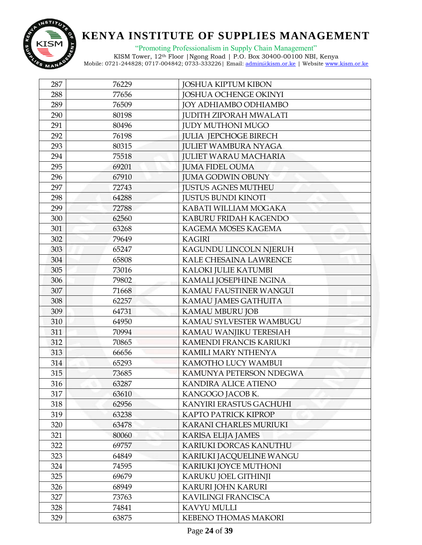

"Promoting Professionalism in Supply Chain Management"

| 287 | 76229 | <b>JOSHUA KIPTUM KIBON</b>    |
|-----|-------|-------------------------------|
| 288 | 77656 | <b>JOSHUA OCHENGE OKINYI</b>  |
| 289 | 76509 | JOY ADHIAMBO ODHIAMBO         |
| 290 | 80198 | <b>JUDITH ZIPORAH MWALATI</b> |
| 291 | 80496 | <b>JUDY MUTHONI MUGO</b>      |
| 292 | 76198 | <b>JULIA JEPCHOGE BIRECH</b>  |
| 293 | 80315 | <b>JULIET WAMBURA NYAGA</b>   |
| 294 | 75518 | <b>JULIET WARAU MACHARIA</b>  |
| 295 | 69201 | <b>JUMA FIDEL OUMA</b>        |
| 296 | 67910 | <b>JUMA GODWIN OBUNY</b>      |
| 297 | 72743 | <b>JUSTUS AGNES MUTHEU</b>    |
| 298 | 64288 | <b>JUSTUS BUNDI KINOTI</b>    |
| 299 | 72788 | KABATI WILLIAM MOGAKA         |
| 300 | 62560 | KABURU FRIDAH KAGENDO         |
| 301 | 63268 | KAGEMA MOSES KAGEMA           |
| 302 | 79649 | <b>KAGIRI</b>                 |
| 303 | 65247 | KAGUNDU LINCOLN NJERUH        |
| 304 | 65808 | KALE CHESAINA LAWRENCE        |
| 305 | 73016 | KALOKI JULIE KATUMBI          |
| 306 | 79802 | KAMALI JOSEPHINE NGINA        |
| 307 | 71668 | KAMAU FAUSTINER WANGUI        |
| 308 | 62257 | KAMAU JAMES GATHUITA          |
| 309 | 64731 | <b>KAMAU MBURU JOB</b>        |
| 310 | 64950 | KAMAU SYLVESTER WAMBUGU       |
| 311 | 70994 | KAMAU WANJIKU TERESIAH        |
| 312 | 70865 | KAMENDI FRANCIS KARIUKI       |
| 313 | 66656 | KAMILI MARY NTHENYA           |
| 314 | 65293 | KAMOTHO LUCY WAMBUI           |
| 315 | 73685 | KAMUNYA PETERSON NDEGWA       |
| 316 | 63287 | <b>KANDIRA ALICE ATIENO</b>   |
| 317 | 63610 | KANGOGO JACOB K.              |
| 318 | 62956 | KANYIRI ERASTUS GACHUHI       |
| 319 | 63238 | <b>KAPTO PATRICK KIPROP</b>   |
| 320 | 63478 | KARANI CHARLES MURIUKI        |
| 321 | 80060 | <b>KARISA ELIJA JAMES</b>     |
| 322 | 69757 | KARIUKI DORCAS KANUTHU        |
| 323 | 64849 | KARIUKI JACQUELINE WANGU      |
| 324 | 74595 | KARIUKI JOYCE MUTHONI         |
| 325 | 69679 | KARUKU JOEL GITHINJI          |
| 326 | 68949 | KARURI JOHN KARURI            |
| 327 | 73763 | KAVILINGI FRANCISCA           |
| 328 | 74841 | KAVYU MULLI                   |
| 329 | 63875 | KEBENO THOMAS MAKORI          |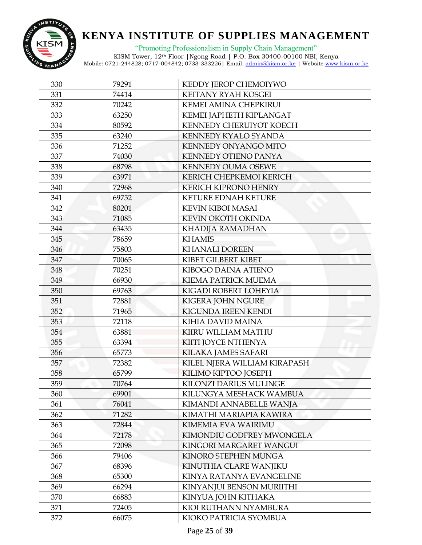

"Promoting Professionalism in Supply Chain Management"

| 330 | 79291 | KEDDY JEROP CHEMOIYWO         |
|-----|-------|-------------------------------|
| 331 | 74414 | KEITANY RYAH KOSGEI           |
| 332 | 70242 | KEMEI AMINA CHEPKIRUI         |
| 333 | 63250 | KEMEI JAPHETH KIPLANGAT       |
| 334 | 80592 | KENNEDY CHERUIYOT KOECH       |
| 335 | 63240 | KENNEDY KYALO SYANDA          |
| 336 | 71252 | KENNEDY ONYANGO MITO          |
| 337 | 74030 | <b>KENNEDY OTIENO PANYA</b>   |
| 338 | 68798 | <b>KENNEDY OUMA OSEWE</b>     |
| 339 | 63971 | KERICH CHEPKEMOI KERICH       |
| 340 | 72968 | <b>KERICH KIPRONO HENRY</b>   |
| 341 | 69752 | KETURE EDNAH KETURE           |
| 342 | 80201 | <b>KEVIN KIBOI MASAI</b>      |
| 343 | 71085 | KEVIN OKOTH OKINDA            |
| 344 | 63435 | KHADIJA RAMADHAN              |
| 345 | 78659 | <b>KHAMIS</b>                 |
| 346 | 75803 | <b>KHANALI DOREEN</b>         |
| 347 | 70065 | KIBET GILBERT KIBET           |
| 348 | 70251 | KIBOGO DAINA ATIENO           |
| 349 | 66930 | <b>KIEMA PATRICK MUEMA</b>    |
| 350 | 69763 | KIGADI ROBERT LOHEYIA         |
| 351 | 72881 | <b>KIGERA JOHN NGURE</b>      |
| 352 | 71965 | KIGUNDA IREEN KENDI           |
| 353 | 72118 | KIHIA DAVID MAINA             |
| 354 | 63881 | KIIRU WILLIAM MATHU           |
| 355 | 63394 | KIITI JOYCE NTHENYA           |
| 356 | 65773 | KILAKA JAMES SAFARI           |
| 357 | 72382 | KILEL NJERA WILLIAM KIRAPASH  |
| 358 | 65799 | KILIMO KIPTOO JOSEPH          |
| 359 | 70764 | <b>KILONZI DARIUS MULINGE</b> |
| 360 | 69901 | KILUNGYA MESHACK WAMBUA       |
| 361 | 76041 | KIMANDI ANNABELLE WANJA       |
| 362 | 71282 | KIMATHI MARIAPIA KAWIRA       |
| 363 | 72844 | <b>KIMEMIA EVA WAIRIMU</b>    |
| 364 | 72178 | KIMONDIU GODFREY MWONGELA     |
| 365 | 72098 | KINGORI MARGARET WANGUI       |
| 366 | 79406 | KINORO STEPHEN MUNGA          |
| 367 | 68396 | KINUTHIA CLARE WANJIKU        |
| 368 | 65300 | KINYA RATANYA EVANGELINE      |
| 369 | 66294 | KINYANJUI BENSON MURIITHI     |
| 370 | 66883 | KINYUA JOHN KITHAKA           |
| 371 | 72405 | KIOI RUTHANN NYAMBURA         |
| 372 | 66075 | KIOKO PATRICIA SYOMBUA        |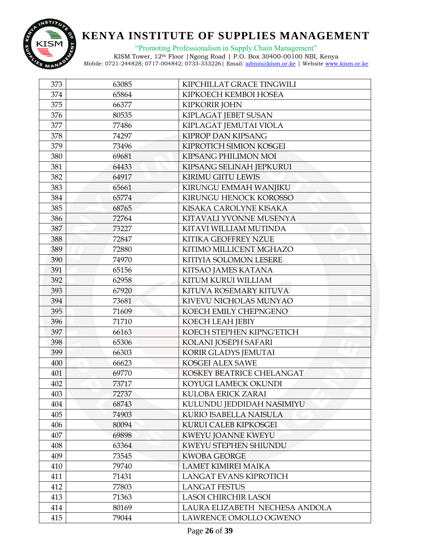

"Promoting Professionalism in Supply Chain Management"

| 373 | 63085 | KIPCHILLAT GRACE TINGWILI      |
|-----|-------|--------------------------------|
| 374 | 65864 | KIPKOECH KEMBOI HOSEA          |
| 375 | 66377 | <b>KIPKORIR JOHN</b>           |
| 376 | 80535 | KIPLAGAT JEBET SUSAN           |
| 377 | 77486 | KIPLAGAT JEMUTAI VIOLA         |
| 378 | 74297 | <b>KIPROP DAN KIPSANG</b>      |
| 379 | 73496 | KIPROTICH SIMION KOSGEI        |
| 380 | 69681 | KIPSANG PHILIMON MOI           |
| 381 | 64433 | KIPSANG SELINAH JEPKURUI       |
| 382 | 64917 | <b>KIRIMU GIITU LEWIS</b>      |
| 383 | 65661 | KIRUNGU EMMAH WANJIKU          |
| 384 | 65774 | KIRUNGU HENOCK KOROSSO         |
| 385 | 68765 | KISAKA CAROLYNE KISAKA         |
| 386 | 72764 | KITAVALI YVONNE MUSENYA        |
| 387 | 73227 | KITAVI WILLIAM MUTINDA         |
| 388 | 72847 | KITIKA GEOFFREY NZUE           |
| 389 | 72880 | KITIMO MILLICENT MGHAZO        |
| 390 | 74970 | KITIYIA SOLOMON LESERE         |
| 391 | 65156 | KITSAO JAMES KATANA            |
| 392 | 62958 | KITUM KURUI WILLIAM            |
| 393 | 67920 | KITUVA ROSEMARY KITUVA         |
| 394 | 73681 | KIVEVU NICHOLAS MUNYAO         |
| 395 | 71609 | KOECH EMILY CHEPNGENO          |
| 396 | 71710 | KOECH LEAH JEBIY               |
| 397 | 66163 | KOECH STEPHEN KIPNG'ETICH      |
| 398 | 65306 | KOLANI JOSEPH SAFARI           |
| 399 | 66303 | KORIR GLADYS JEMUTAI           |
| 400 | 66623 | KOSGEI ALEX SAWE               |
| 401 | 69770 | KOSKEY BEATRICE CHELANGAT      |
| 402 | 73717 | KOYUGI LAMECK OKUNDI           |
| 403 | 72737 | KULOBA ERICK ZARAI             |
| 404 | 68743 | KULUNDU JEDDIDAH NASIMIYU      |
| 405 | 74903 | <b>KURIO ISABELLA NAISULA</b>  |
| 406 | 80094 | KURUI CALEB KIPKOSGEI          |
| 407 | 69898 | <b>KWEYU JOANNE KWEYU</b>      |
| 408 | 63364 | KWEYU STEPHEN SHIUNDU          |
| 409 | 73545 | <b>KWOBA GEORGE</b>            |
| 410 | 79740 | <b>LAMET KIMIREI MAIKA</b>     |
| 411 | 71431 | <b>LANGAT EVANS KIPROTICH</b>  |
| 412 | 77803 | <b>LANGAT FESTUS</b>           |
| 413 | 71363 | LASOI CHIRCHIR LASOI           |
| 414 | 80169 | LAURA ELIZABETH NECHESA ANDOLA |
| 415 | 79044 | LAWRENCE OMOLLO OGWENO         |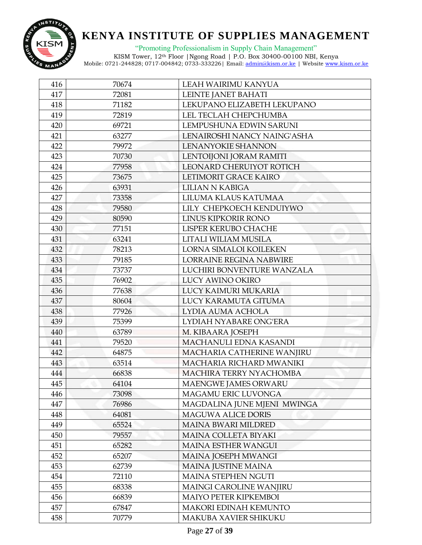

"Promoting Professionalism in Supply Chain Management"

| 416 | 70674 | LEAH WAIRIMU KANYUA            |
|-----|-------|--------------------------------|
| 417 | 72081 | LEINTE JANET BAHATI            |
| 418 | 71182 | LEKUPANO ELIZABETH LEKUPANO    |
| 419 | 72819 | LEL TECLAH CHEPCHUMBA          |
| 420 | 69721 | LEMPUSHUNA EDWIN SARUNI        |
| 421 | 63277 | LENAIROSHI NANCY NAING'ASHA    |
| 422 | 79972 | LENANYOKIE SHANNON             |
| 423 | 70730 | LENTOIJONI JORAM RAMITI        |
| 424 | 77958 | LEONARD CHERUIYOT ROTICH       |
| 425 | 73675 | LETIMORIT GRACE KAIRO          |
| 426 | 63931 | <b>LILIAN N KABIGA</b>         |
| 427 | 73358 | LILUMA KLAUS KATUMAA           |
| 428 | 79580 | LILY CHEPKOECH KENDUIYWO       |
| 429 | 80590 | LINUS KIPKORIR RONO            |
| 430 | 77151 | LISPER KERUBO CHACHE           |
| 431 | 63241 | LITALI WILIAM MUSILA           |
| 432 | 78213 | LORNA SIMALOI KOILEKEN         |
| 433 | 79185 | <b>LORRAINE REGINA NABWIRE</b> |
| 434 | 73737 | LUCHIRI BONVENTURE WANZALA     |
| 435 | 76902 | LUCY AWINO OKIRO               |
| 436 | 77638 | LUCY KAIMURI MUKARIA           |
| 437 | 80604 | LUCY KARAMUTA GITUMA           |
| 438 | 77926 | LYDIA AUMA ACHOLA              |
| 439 | 75399 | LYDIAH NYABARE ONG'ERA         |
| 440 | 63789 | M. KIBAARA JOSEPH              |
| 441 | 79520 | MACHANULI EDNA KASANDI         |
| 442 | 64875 | MACHARIA CATHERINE WANJIRU     |
| 443 | 63514 | MACHARIA RICHARD MWANIKI       |
| 444 | 66838 | MACHIRA TERRY NYACHOMBA        |
| 445 | 64104 | <b>MAENGWE JAMES ORWARU</b>    |
| 446 | 73098 | MAGAMU ERIC LUVONGA            |
| 447 | 76986 | MAGDALINA JUNE MJENI MWINGA    |
| 448 | 64081 | <b>MAGUWA ALICE DORIS</b>      |
| 449 | 65524 | <b>MAINA BWARI MILDRED</b>     |
| 450 | 79557 | MAINA COLLETA BIYAKI           |
| 451 | 65282 | <b>MAINA ESTHER WANGUI</b>     |
| 452 | 65207 | MAINA JOSEPH MWANGI            |
| 453 | 62739 | <b>MAINA JUSTINE MAINA</b>     |
| 454 | 72110 | <b>MAINA STEPHEN NGUTI</b>     |
| 455 | 68338 | MAINGI CAROLINE WANJIRU        |
| 456 | 66839 | <b>MAIYO PETER KIPKEMBOI</b>   |
| 457 | 67847 | <b>MAKORI EDINAH KEMUNTO</b>   |
| 458 | 70779 | MAKUBA XAVIER SHIKUKU          |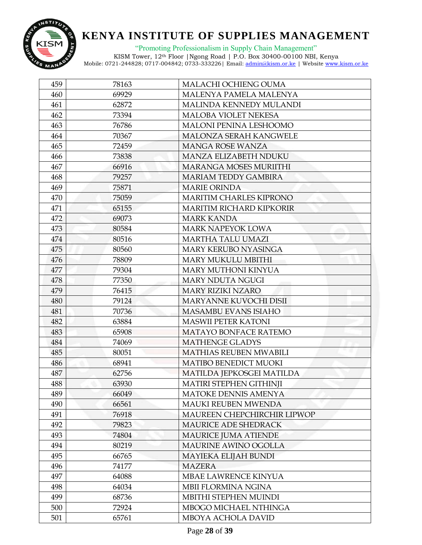

"Promoting Professionalism in Supply Chain Management"

| 459 | 78163 | MALACHI OCHIENG OUMA            |
|-----|-------|---------------------------------|
| 460 | 69929 | MALENYA PAMELA MALENYA          |
| 461 | 62872 | MALINDA KENNEDY MULANDI         |
| 462 | 73394 | <b>MALOBA VIOLET NEKESA</b>     |
| 463 | 76786 | MALONI PENINA LESHOOMO          |
| 464 | 70367 | <b>MALONZA SERAH KANGWELE</b>   |
| 465 | 72459 | <b>MANGA ROSE WANZA</b>         |
| 466 | 73838 | <b>MANZA ELIZABETH NDUKU</b>    |
| 467 | 66916 | <b>MARANGA MOSES MURIITHI</b>   |
| 468 | 79257 | <b>MARIAM TEDDY GAMBIRA</b>     |
| 469 | 75871 | <b>MARIE ORINDA</b>             |
| 470 | 75059 | <b>MARITIM CHARLES KIPRONO</b>  |
| 471 | 65155 | <b>MARITIM RICHARD KIPKORIR</b> |
| 472 | 69073 | <b>MARK KANDA</b>               |
| 473 | 80584 | <b>MARK NAPEYOK LOWA</b>        |
| 474 | 80516 | <b>MARTHA TALU UMAZI</b>        |
| 475 | 80560 | MARY KERUBO NYASINGA            |
| 476 | 78809 | <b>MARY MUKULU MBITHI</b>       |
| 477 | 79304 | <b>MARY MUTHONI KINYUA</b>      |
| 478 | 77350 | <b>MARY NDUTA NGUGI</b>         |
| 479 | 76415 | <b>MARY RIZIKI NZARO</b>        |
| 480 | 79124 | <b>MARYANNE KUVOCHI DISII</b>   |
| 481 | 70736 | <b>MASAMBU EVANS ISIAHO</b>     |
| 482 | 63884 | <b>MASWII PETER KATONI</b>      |
| 483 | 65908 | MATAYO BONFACE RATEMO           |
| 484 | 74069 | <b>MATHENGE GLADYS</b>          |
| 485 | 80051 | <b>MATHIAS REUBEN MWABILI</b>   |
| 486 | 68941 | <b>MATIBO BENEDICT MUOKI</b>    |
| 487 | 62756 | MATILDA JEPKOSGEI MATILDA       |
| 488 | 63930 | <b>MATIRI STEPHEN GITHINJI</b>  |
| 489 | 66049 | <b>MATOKE DENNIS AMENYA</b>     |
| 490 | 66561 | <b>MAUKI REUBEN MWENDA</b>      |
| 491 | 76918 | MAUREEN CHEPCHIRCHIR LIPWOP     |
| 492 | 79823 | MAURICE ADE SHEDRACK            |
| 493 | 74804 | <b>MAURICE JUMA ATIENDE</b>     |
| 494 | 80219 | <b>MAURINE AWINO OGOLLA</b>     |
| 495 | 66765 | MAYIEKA ELIJAH BUNDI            |
| 496 | 74177 | <b>MAZERA</b>                   |
| 497 | 64088 | MBAE LAWRENCE KINYUA            |
| 498 | 64034 | MBII FLORMINA NGINA             |
| 499 | 68736 | MBITHI STEPHEN MUINDI           |
| 500 | 72924 | MBOGO MICHAEL NTHINGA           |
| 501 | 65761 | MBOYA ACHOLA DAVID              |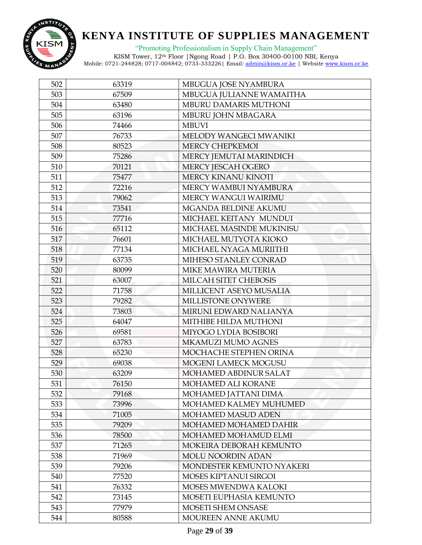

"Promoting Professionalism in Supply Chain Management"

| 502 | 63319 | MBUGUA JOSE NYAMBURA         |
|-----|-------|------------------------------|
| 503 | 67509 | MBUGUA JULIANNE WAMAITHA     |
| 504 | 63480 | MBURU DAMARIS MUTHONI        |
| 505 | 63196 | MBURU JOHN MBAGARA           |
| 506 | 74466 | <b>MBUVI</b>                 |
| 507 | 76733 | MELODY WANGECI MWANIKI       |
| 508 | 80523 | MERCY CHEPKEMOI              |
| 509 | 75286 | MERCY JEMUTAI MARINDICH      |
| 510 | 70121 | MERCY JESCAH OGERO           |
| 511 | 75477 | MERCY KINANU KINOTI          |
| 512 | 72216 | MERCY WAMBUI NYAMBURA        |
| 513 | 79062 | MERCY WANGUI WAIRIMU         |
| 514 | 73541 | MGANDA BELDINE AKUMU         |
| 515 | 77716 | MICHAEL KEITANY MUNDUI       |
| 516 | 65112 | MICHAEL MASINDE MUKINISU     |
| 517 | 76601 | MICHAEL MUTYOTA KIOKO        |
| 518 | 77134 | MICHAEL NYAGA MURIITHI       |
| 519 | 63735 | MIHESO STANLEY CONRAD        |
| 520 | 80099 | MIKE MAWIRA MUTERIA          |
| 521 | 63007 | MILCAH SITET CHEBOSIS        |
| 522 | 71758 | MILLICENT ASEYO MUSALIA      |
| 523 | 79282 | MILLISTONE ONYWERE           |
| 524 | 73803 | MIRUNI EDWARD NALIANYA       |
| 525 | 64047 | MITHIBE HILDA MUTHONI        |
| 526 | 69581 | MIYOGO LYDIA BOSIBORI        |
| 527 | 63783 | MKAMUZI MUMO AGNES           |
| 528 | 65230 | MOCHACHE STEPHEN ORINA       |
| 529 | 69038 | MOGENI LAMECK MOGUSU         |
| 530 | 63209 | MOHAMED ABDINUR SALAT        |
| 531 | 76150 | MOHAMED ALI KORANE           |
| 532 | 79168 | MOHAMED JATTANI DIMA         |
| 533 | 73996 | MOHAMED KALMEY MUHUMED       |
| 534 | 71005 | <b>MOHAMED MASUD ADEN</b>    |
| 535 | 79209 | <b>MOHAMED MOHAMED DAHIR</b> |
| 536 | 78500 | MOHAMED MOHAMUD ELMI         |
| 537 | 71265 | MOKEIRA DEBORAH KEMUNTO      |
| 538 | 71969 | <b>MOLU NOORDIN ADAN</b>     |
| 539 | 79206 | MONDESTER KEMUNTO NYAKERI    |
| 540 | 77520 | MOSES KIPTANUI SIRGOI        |
| 541 | 76332 | MOSES MWENDWA KALOKI         |
| 542 | 73145 | MOSETI EUPHASIA KEMUNTO      |
| 543 | 77979 | MOSETI SHEM ONSASE           |
| 544 | 80588 | MOUREEN ANNE AKUMU           |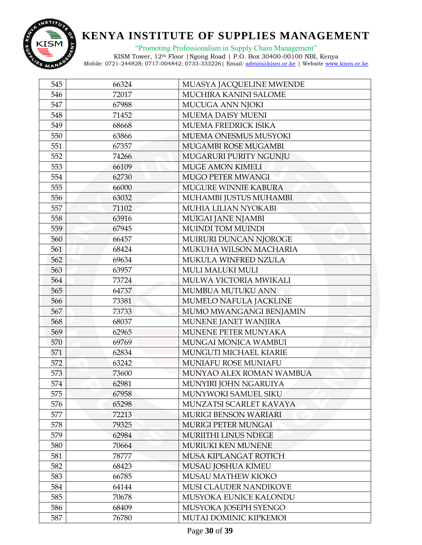

"Promoting Professionalism in Supply Chain Management"

| 545 | 66324 | MUASYA JACQUELINE MWENDE      |
|-----|-------|-------------------------------|
| 546 | 72017 | MUCHIRA KANINI SALOME         |
| 547 | 67988 | MUCUGA ANN NJOKI              |
| 548 | 71452 | <b>MUEMA DAISY MUENI</b>      |
| 549 | 68668 | MUEMA FREDRICK ISIKA          |
| 550 | 63866 | MUEMA ONESMUS MUSYOKI         |
| 551 | 67357 | MUGAMBI ROSE MUGAMBI          |
| 552 | 74266 | MUGARURI PURITY NGUNJU        |
| 553 | 66109 | <b>MUGE AMON KIMELI</b>       |
| 554 | 62730 | MUGO PETER MWANGI             |
| 555 | 66000 | MUGURE WINNIE KABURA          |
| 556 | 63032 | MUHAMBI JUSTUS MUHAMBI        |
| 557 | 71102 | MUHIA LILIAN NYOKABI          |
| 558 | 63916 | MUIGAI JANE NJAMBI            |
| 559 | 67945 | <b>MUINDI TOM MUINDI</b>      |
| 560 | 66457 | MUIRURI DUNCAN NJOROGE        |
| 561 | 68424 | MUKUHA WILSON MACHARIA        |
| 562 | 69634 | MUKULA WINFRED NZULA          |
| 563 | 63957 | <b>MULI MALUKI MULI</b>       |
| 564 | 73724 | MULWA VICTORIA MWIKALI        |
| 565 | 64737 | MUMBUA MUTUKU ANN             |
| 566 | 73381 | MUMELO NAFULA JACKLINE        |
| 567 | 73733 | MUMO MWANGANGI BENJAMIN       |
| 568 | 68037 | MUNENE JANET WANJIRA          |
| 569 | 62965 | MUNENE PETER MUNYAKA          |
| 570 | 69769 | MUNGAI MONICA WAMBUI          |
| 571 | 62834 | MUNGUTI MICHAEL KIARIE        |
| 572 | 63242 | MUNIAFU ROSE MUNIAFU          |
| 573 | 73600 | MUNYAO ALEX ROMAN WAMBUA      |
| 574 | 62981 | MUNYIRI JOHN NGARUIYA         |
| 575 | 67958 | MUNYWOKI SAMUEL SIKU          |
| 576 | 65298 | MUNZATSI SCARLET KAVAYA       |
| 577 | 72213 | MURIGI BENSON WARIARI         |
| 578 | 79325 | <b>MURIGI PETER MUNGAI</b>    |
| 579 | 62984 | <b>MURIITHI LINUS NDEGE</b>   |
| 580 | 70664 | <b>MURIUKI KEN MUNENE</b>     |
| 581 | 78777 | MUSA KIPLANGAT ROTICH         |
| 582 | 68423 | MUSAU JOSHUA KIMEU            |
| 583 | 66785 | MUSAU MATHEW KIOKO            |
| 584 | 64144 | <b>MUSI CLAUDER NANDIKOVE</b> |
| 585 | 70678 | MUSYOKA EUNICE KALONDU        |
| 586 | 68409 | MUSYOKA JOSEPH SYENGO         |
| 587 | 76780 | MUTAI DOMINIC KIPKEMOI        |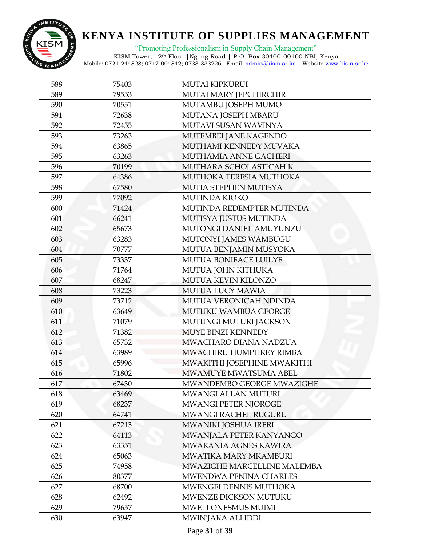

"Promoting Professionalism in Supply Chain Management"

| 588 | 75403 | <b>MUTAI KIPKURUI</b>       |
|-----|-------|-----------------------------|
| 589 | 79553 | MUTAI MARY JEPCHIRCHIR      |
| 590 | 70551 | MUTAMBU JOSEPH MUMO         |
| 591 | 72638 | MUTANA JOSEPH MBARU         |
| 592 | 72455 | MUTAVI SUSAN WAVINYA        |
| 593 | 73263 | MUTEMBEI JANE KAGENDO       |
| 594 | 63865 | MUTHAMI KENNEDY MUVAKA      |
| 595 | 63263 | MUTHAMIA ANNE GACHERI       |
| 596 | 70199 | MUTHARA SCHOLASTICAH K      |
| 597 | 64386 | MUTHOKA TERESIA MUTHOKA     |
| 598 | 67580 | MUTIA STEPHEN MUTISYA       |
| 599 | 77092 | <b>MUTINDA KIOKO</b>        |
| 600 | 71424 | MUTINDA REDEMPTER MUTINDA   |
| 601 | 66241 | MUTISYA JUSTUS MUTINDA      |
| 602 | 65673 | MUTONGI DANIEL AMUYUNZU     |
| 603 | 63283 | MUTONYI JAMES WAMBUGU       |
| 604 | 70777 | MUTUA BENJAMIN MUSYOKA      |
| 605 | 73337 | MUTUA BONIFACE LUILYE       |
| 606 | 71764 | MUTUA JOHN KITHUKA          |
| 607 | 68247 | MUTUA KEVIN KILONZO         |
| 608 | 73223 | MUTUA LUCY MAWIA            |
| 609 | 73712 | MUTUA VERONICAH NDINDA      |
| 610 | 63649 | MUTUKU WAMBUA GEORGE        |
| 611 | 71079 | MUTUNGI MUTURI JACKSON      |
| 612 | 71382 | MUYE BINZI KENNEDY          |
| 613 | 65732 | MWACHARO DIANA NADZUA       |
| 614 | 63989 | MWACHIRU HUMPHREY RIMBA     |
| 615 | 65996 | MWAKITHI JOSEPHINE MWAKITHI |
| 616 | 71802 | MWAMUYE MWATSUMA ABEL       |
| 617 | 67430 | MWANDEMBO GEORGE MWAZIGHE   |
| 618 | 63469 | MWANGI ALLAN MUTURI         |
| 619 | 68237 | <b>MWANGI PETER NJOROGE</b> |
| 620 | 64741 | MWANGI RACHEL RUGURU        |
| 621 | 67213 | MWANIKI JOSHUA IRERI        |
| 622 | 64113 | MWANJALA PETER KANYANGO     |
| 623 | 63351 | MWARANIA AGNES KAWIRA       |
| 624 | 65063 | MWATIKA MARY MKAMBURI       |
| 625 | 74958 | MWAZIGHE MARCELLINE MALEMBA |
| 626 | 80377 | MWENDWA PENINA CHARLES      |
| 627 | 68700 | MWENGEI DENNIS MUTHOKA      |
| 628 | 62492 | MWENZE DICKSON MUTUKU       |
| 629 | 79657 | MWETI ONESMUS MUIMI         |
| 630 | 63947 | MWIN'JAKA ALI IDDI          |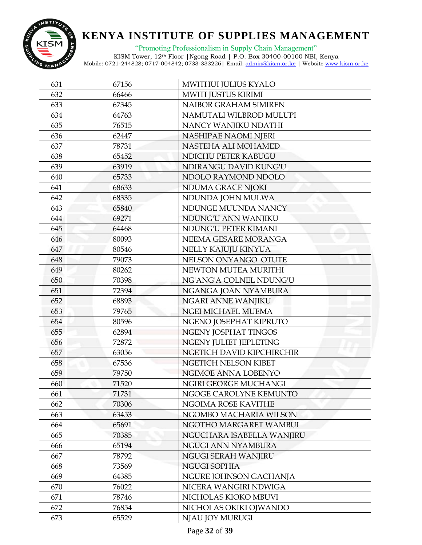

"Promoting Professionalism in Supply Chain Management"

| 631 | 67156 | MWITHUI JULIUS KYALO      |
|-----|-------|---------------------------|
| 632 | 66466 | MWITI JUSTUS KIRIMI       |
| 633 | 67345 | NAIBOR GRAHAM SIMIREN     |
| 634 | 64763 | NAMUTALI WILBROD MULUPI   |
| 635 | 76515 | NANCY WANJIKU NDATHI      |
| 636 | 62447 | NASHIPAE NAOMI NJERI      |
| 637 | 78731 | NASTEHA ALI MOHAMED       |
| 638 | 65452 | NDICHU PETER KABUGU       |
| 639 | 63919 | NDIRANGU DAVID KUNG'U     |
| 640 | 65733 | NDOLO RAYMOND NDOLO       |
| 641 | 68633 | NDUMA GRACE NJOKI         |
| 642 | 68335 | NDUNDA JOHN MULWA         |
| 643 | 65840 | NDUNGE MUUNDA NANCY       |
| 644 | 69271 | NDUNG'U ANN WANJIKU       |
| 645 | 64468 | NDUNG'U PETER KIMANI      |
| 646 | 80093 | NEEMA GESARE MORANGA      |
| 647 | 80546 | NELLY KAJUJU KINYUA       |
| 648 | 79073 | NELSON ONYANGO OTUTE      |
| 649 | 80262 | NEWTON MUTEA MURITHI      |
| 650 | 70398 | NG'ANG'A COLNEL NDUNG'U   |
| 651 | 72394 | NGANGA JOAN NYAMBURA      |
| 652 | 68893 | NGARI ANNE WANJIKU        |
| 653 | 79765 | NGEI MICHAEL MUEMA        |
| 654 | 80596 | NGENO JOSEPHAT KIPRUTO    |
| 655 | 62894 | NGENY JOSPHAT TINGOS      |
| 656 | 72872 | NGENY JULIET JEPLETING    |
| 657 | 63056 | NGETICH DAVID KIPCHIRCHIR |
| 658 | 67536 | NGETICH NELSON KIBET      |
| 659 | 79750 | NGIMOE ANNA LOBENYO       |
| 660 | 71520 | NGIRI GEORGE MUCHANGI     |
| 661 | 71731 | NGOGE CAROLYNE KEMUNTO    |
| 662 | 70306 | NGOIMA ROSE KAVITHE       |
| 663 | 63453 | NGOMBO MACHARIA WILSON    |
| 664 | 65691 | NGOTHO MARGARET WAMBUI    |
| 665 | 70385 | NGUCHARA ISABELLA WANJIRU |
| 666 | 65194 | NGUGI ANN NYAMBURA        |
| 667 | 78792 | NGUGI SERAH WANJIRU       |
| 668 | 73569 | <b>NGUGI SOPHIA</b>       |
| 669 | 64385 | NGURE JOHNSON GACHANJA    |
| 670 | 76022 | NICERA WANGIRI NDWIGA     |
| 671 | 78746 | NICHOLAS KIOKO MBUVI      |
| 672 | 76854 | NICHOLAS OKIKI OJWANDO    |
| 673 | 65529 | NJAU JOY MURUGI           |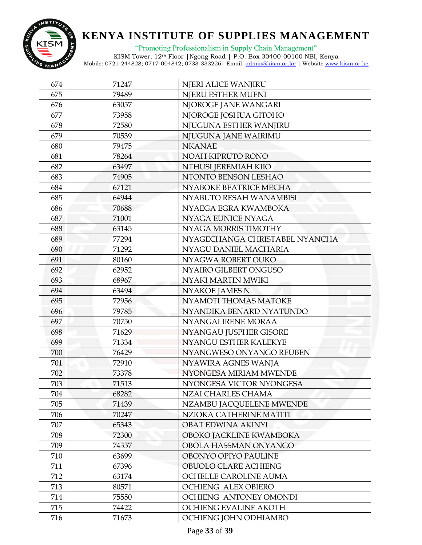

"Promoting Professionalism in Supply Chain Management"

| 674 | 71247 | NJERI ALICE WANJIRU            |
|-----|-------|--------------------------------|
| 675 | 79489 | NJERU ESTHER MUENI             |
| 676 | 63057 | NJOROGE JANE WANGARI           |
| 677 | 73958 | NJOROGE JOSHUA GITOHO          |
| 678 | 72580 | NJUGUNA ESTHER WANJIRU         |
| 679 | 70539 | NJUGUNA JANE WAIRIMU           |
| 680 | 79475 | <b>NKANAE</b>                  |
| 681 | 78264 | NOAH KIPRUTO RONO              |
| 682 | 63497 | NTHUSI JEREMIAH KIIO           |
| 683 | 74905 | NTONTO BENSON LESHAO           |
| 684 | 67121 | NYABOKE BEATRICE MECHA         |
| 685 | 64944 | NYABUTO RESAH WANAMBISI        |
| 686 | 70688 | NYAEGA EGRA KWAMBOKA           |
| 687 | 71001 | NYAGA EUNICE NYAGA             |
| 688 | 63145 | NYAGA MORRIS TIMOTHY           |
| 689 | 77294 | NYAGECHANGA CHRISTABEL NYANCHA |
| 690 | 71292 | NYAGU DANIEL MACHARIA          |
| 691 | 80160 | NYAGWA ROBERT OUKO             |
| 692 | 62952 | NYAIRO GILBERT ONGUSO          |
| 693 | 68967 | NYAKI MARTIN MWIKI             |
| 694 | 63494 | NYAKOE JAMES N.                |
| 695 | 72956 | NYAMOTI THOMAS MATOKE          |
| 696 | 79785 | NYANDIKA BENARD NYATUNDO       |
| 697 | 70750 | NYANGAI IRENE MORAA            |
| 698 | 71629 | NYANGAU JUSPHER GISORE         |
| 699 | 71334 | NYANGU ESTHER KALEKYE          |
| 700 | 76429 | NYANGWESO ONYANGO REUBEN       |
| 701 | 72910 | NYAWIRA AGNES WANJA            |
| 702 | 73378 | NYONGESA MIRIAM MWENDE         |
| 703 | 71513 | NYONGESA VICTOR NYONGESA       |
| 704 | 68282 | NZAI CHARLES CHAMA             |
| 705 | 71439 | NZAMBU JACQUELENE MWENDE       |
| 706 | 70247 | NZIOKA CATHERINE MATITI        |
| 707 | 65343 | OBAT EDWINA AKINYI             |
| 708 | 72300 | OBOKO JACKLINE KWAMBOKA        |
| 709 | 74357 | OBOLA HASSMAN ONYANGO          |
| 710 | 63699 | OBONYO OPIYO PAULINE           |
| 711 | 67396 | OBUOLO CLARE ACHIENG           |
| 712 | 63174 | OCHELLE CAROLINE AUMA          |
| 713 | 80571 | OCHIENG ALEX OBIERO            |
| 714 | 75550 | OCHIENG ANTONEY OMONDI         |
| 715 | 74422 | OCHIENG EVALINE AKOTH          |
| 716 | 71673 | OCHIENG JOHN ODHIAMBO          |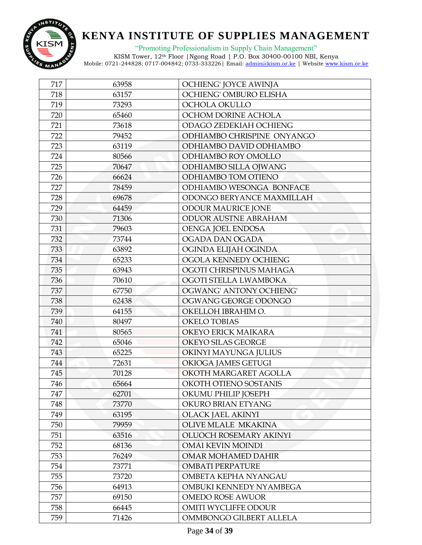

"Promoting Professionalism in Supply Chain Management"

| 717 | 63958 | OCHIENG' JOYCE AWINJA      |
|-----|-------|----------------------------|
| 718 | 63157 | OCHIENG' OMBURO ELISHA     |
| 719 | 73293 | OCHOLA OKULLO              |
| 720 | 65460 | OCHOM DORINE ACHOLA        |
| 721 | 73618 | ODAGO ZEDEKIAH OCHIENG     |
| 722 | 79452 | ODHIAMBO CHRISPINE ONYANGO |
| 723 | 63119 | ODHIAMBO DAVID ODHIAMBO    |
| 724 | 80566 | ODHIAMBO ROY OMOLLO        |
| 725 | 70647 | ODHIAMBO SILLA OJWANG      |
| 726 | 66624 | ODHIAMBO TOM OTIENO        |
| 727 | 78459 | ODHIAMBO WESONGA BONFACE   |
| 728 | 69678 | ODONGO BERYANCE MAXMILLAH  |
| 729 | 64459 | ODOUR MAURICE JONE         |
| 730 | 71306 | ODUOR AUSTNE ABRAHAM       |
| 731 | 79603 | <b>OENGA JOEL ENDOSA</b>   |
| 732 | 73744 | OGADA DAN OGADA            |
| 733 | 63892 | OGINDA ELIJAH OGINDA       |
| 734 | 65233 | OGOLA KENNEDY OCHIENG      |
| 735 | 63943 | OGOTI CHRISPINUS MAHAGA    |
| 736 | 70610 | OGOTI STELLA LWAMBOKA      |
| 737 | 67750 | OGWANG' ANTONY OCHIENG'    |
| 738 | 62438 | OGWANG GEORGE ODONGO       |
| 739 | 64155 | OKELLOH IBRAHIM O.         |
| 740 | 80497 | <b>OKELO TOBIAS</b>        |
| 741 | 80565 | OKEYO ERICK MAIKARA        |
| 742 | 65046 | OKEYO SILAS GEORGE         |
| 743 | 65225 | OKINYI MAYUNGA JULIUS      |
| 744 | 72631 | OKIOGA JAMES GETUGI        |
| 745 | 70128 | OKOTH MARGARET AGOLLA      |
| 746 | 65664 | OKOTH OTIENO SOSTANIS      |
| 747 | 62701 | OKUMU PHILIP JOSEPH        |
| 748 | 73770 | OKURO BRIAN ETYANG         |
| 749 | 63195 | <b>OLACK JAEL AKINYI</b>   |
| 750 | 79959 | OLIVE MLALE MKAKINA        |
| 751 | 63516 | OLUOCH ROSEMARY AKINYI     |
| 752 | 68136 | <b>OMAI KEVIN MOINDI</b>   |
| 753 | 76249 | OMAR MOHAMED DAHIR         |
| 754 | 73771 | <b>OMBATI PERPATURE</b>    |
| 755 | 73720 | OMBETA KEPHA NYANGAU       |
| 756 | 64913 | OMBUKI KENNEDY NYAMBEGA    |
| 757 | 69150 | <b>OMEDO ROSE AWUOR</b>    |
| 758 | 66445 | OMITI WYCLIFFE ODOUR       |
| 759 | 71426 | OMMBONGO GILBERT ALLELA    |
|     |       |                            |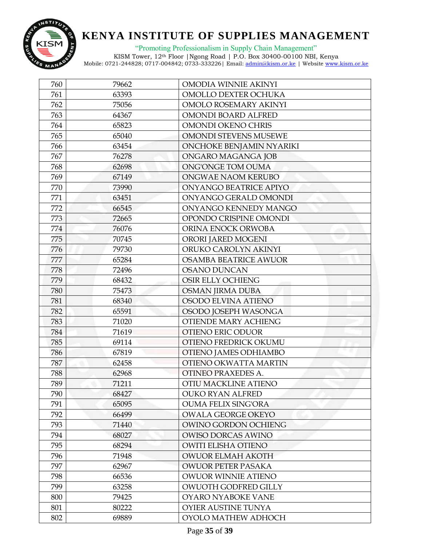

"Promoting Professionalism in Supply Chain Management"

| 760 | 79662 | <b>OMODIA WINNIE AKINYI</b>  |
|-----|-------|------------------------------|
| 761 | 63393 | OMOLLO DEXTER OCHUKA         |
| 762 | 75056 | OMOLO ROSEMARY AKINYI        |
| 763 | 64367 | OMONDI BOARD ALFRED          |
| 764 | 65823 | OMONDI OKENO CHRIS           |
| 765 | 65040 | <b>OMONDI STEVENS MUSEWE</b> |
| 766 | 63454 | ONCHOKE BENJAMIN NYARIKI     |
| 767 | 76278 | ONGARO MAGANGA JOB           |
| 768 | 62698 | ONG'ONGE TOM OUMA            |
| 769 | 67149 | ONGWAE NAOM KERUBO           |
| 770 | 73990 | ONYANGO BEATRICE APIYO       |
| 771 | 63451 | ONYANGO GERALD OMONDI        |
| 772 | 66545 | ONYANGO KENNEDY MANGO        |
| 773 | 72665 | OPONDO CRISPINE OMONDI       |
| 774 | 76076 | ORINA ENOCK ORWOBA           |
| 775 | 70745 | ORORI JARED MOGENI           |
| 776 | 79730 | ORUKO CAROLYN AKINYI         |
| 777 | 65284 | <b>OSAMBA BEATRICE AWUOR</b> |
| 778 | 72496 | <b>OSANO DUNCAN</b>          |
| 779 | 68432 | OSIR ELLY OCHIENG            |
| 780 | 75473 | <b>OSMAN JIRMA DUBA</b>      |
| 781 | 68340 | OSODO ELVINA ATIENO          |
| 782 | 65591 | OSODO JOSEPH WASONGA         |
| 783 | 71020 | OTIENDE MARY ACHIENG         |
| 784 | 71619 | OTIENO ERIC ODUOR            |
| 785 | 69114 | OTIENO FREDRICK OKUMU        |
| 786 | 67819 | OTIENO JAMES ODHIAMBO        |
| 787 | 62458 | OTIENO OKWATTA MARTIN        |
| 788 | 62968 | OTINEO PRAXEDES A.           |
| 789 | 71211 | OTIU MACKLINE ATIENO         |
| 790 | 68427 | <b>OUKO RYAN ALFRED</b>      |
| 791 | 65095 | <b>OUMA FELIX SING'ORA</b>   |
| 792 | 66499 | <b>OWALA GEORGE OKEYO</b>    |
| 793 | 71440 | OWINO GORDON OCHIENG         |
| 794 | 68027 | <b>OWISO DORCAS AWINO</b>    |
| 795 | 68294 | <b>OWITI ELISHA OTIENO</b>   |
| 796 | 71948 | <b>OWUOR ELMAH AKOTH</b>     |
| 797 | 62967 | <b>OWUOR PETER PASAKA</b>    |
| 798 | 66536 | <b>OWUOR WINNIE ATIENO</b>   |
| 799 | 63258 | OWUOTH GODFRED GILLY         |
| 800 | 79425 | OYARO NYABOKE VANE           |
| 801 | 80222 | OYIER AUSTINE TUNYA          |
| 802 | 69889 | OYOLO MATHEW ADHOCH          |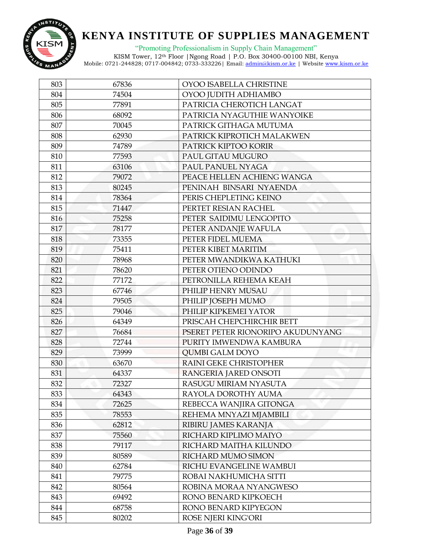

"Promoting Professionalism in Supply Chain Management"

| 803 | 67836 | OYOO ISABELLA CHRISTINE           |
|-----|-------|-----------------------------------|
| 804 | 74504 | OYOO JUDITH ADHIAMBO              |
| 805 | 77891 | PATRICIA CHEROTICH LANGAT         |
| 806 | 68092 | PATRICIA NYAGUTHIE WANYOIKE       |
| 807 | 70045 | PATRICK GITHAGA MUTUMA            |
| 808 | 62930 | PATRICK KIPROTICH MALAKWEN        |
| 809 | 74789 | PATRICK KIPTOO KORIR              |
| 810 | 77593 | PAUL GITAU MUGURO                 |
| 811 | 63106 | PAUL PANUEL NYAGA                 |
| 812 | 79072 | PEACE HELLEN ACHIENG WANGA        |
| 813 | 80245 | PENINAH BINSARI NYAENDA           |
| 814 | 78364 | PERIS CHEPLETING KEINO            |
| 815 | 71447 | PERTET RESIAN RACHEL              |
| 816 | 75258 | PETER SAIDIMU LENGOPITO           |
| 817 | 78177 | PETER ANDANJE WAFULA              |
| 818 | 73355 | PETER FIDEL MUEMA                 |
| 819 | 75411 | PETER KIBET MARITIM               |
| 820 | 78968 | PETER MWANDIKWA KATHUKI           |
| 821 | 78620 | PETER OTIENO ODINDO               |
| 822 | 77172 | PETRONILLA REHEMA KEAH            |
| 823 | 67746 | PHILIP HENRY MUSAU                |
| 824 | 79505 | PHILIP JOSEPH MUMO                |
| 825 | 79046 | PHILIP KIPKEMEI YATOR             |
| 826 | 64349 | PRISCAH CHEPCHIRCHIR BETT         |
| 827 | 76684 | PSERET PETER RIONORIPO AKUDUNYANG |
| 828 | 72744 | PURITY IMWENDWA KAMBURA           |
| 829 | 73999 | <b>QUMBI GALM DOYO</b>            |
| 830 | 63670 | RAINI GEKE CHRISTOPHER            |
| 831 | 64337 | RANGERIA JARED ONSOTI             |
| 832 | 72327 | RASUGU MIRIAM NYASUTA             |
| 833 | 64343 | RAYOLA DOROTHY AUMA               |
| 834 | 72625 | REBECCA WANJIRA GITONGA           |
| 835 | 78553 | REHEMA MNYAZI MJAMBILI            |
| 836 | 62812 | RIBIRU JAMES KARANJA              |
| 837 | 75560 | RICHARD KIPLIMO MAIYO             |
| 838 | 79117 | RICHARD MAITHA KILUNDO            |
| 839 | 80589 | RICHARD MUMO SIMON                |
| 840 | 62784 | RICHU EVANGELINE WAMBUI           |
| 841 | 79775 | ROBAI NAKHUMICHA SITTI            |
| 842 | 80564 | ROBINA MORAA NYANGWESO            |
| 843 | 69492 | RONO BENARD KIPKOECH              |
| 844 | 68758 | RONO BENARD KIPYEGON              |
| 845 | 80202 | <b>ROSE NJERI KING'ORI</b>        |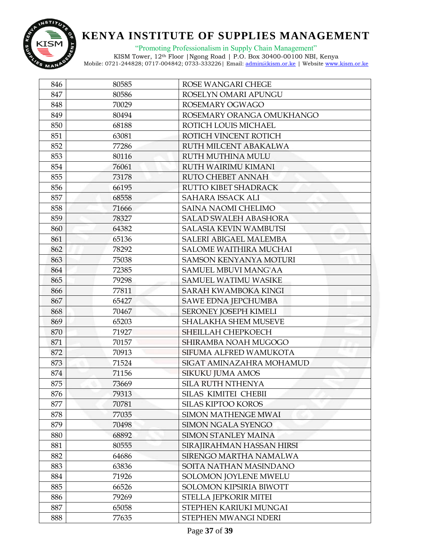

"Promoting Professionalism in Supply Chain Management"

| 846 | 80585 | ROSE WANGARI CHEGE            |
|-----|-------|-------------------------------|
| 847 | 80586 | ROSELYN OMARI APUNGU          |
| 848 | 70029 | ROSEMARY OGWAGO               |
| 849 | 80494 | ROSEMARY ORANGA OMUKHANGO     |
| 850 | 68188 | ROTICH LOUIS MICHAEL          |
| 851 | 63081 | ROTICH VINCENT ROTICH         |
| 852 | 77286 | RUTH MILCENT ABAKALWA         |
| 853 | 80116 | <b>RUTH MUTHINA MULU</b>      |
| 854 | 76061 | <b>RUTH WAIRIMU KIMANI</b>    |
| 855 | 73178 | RUTO CHEBET ANNAH             |
| 856 | 66195 | RUTTO KIBET SHADRACK          |
| 857 | 68558 | SAHARA ISSACK ALI             |
| 858 | 71666 | SAINA NAOMI CHELIMO           |
| 859 | 78327 | <b>SALAD SWALEH ABASHORA</b>  |
| 860 | 64382 | <b>SALASIA KEVIN WAMBUTSI</b> |
| 861 | 65136 | <b>SALERI ABIGAEL MALEMBA</b> |
| 862 | 78292 | <b>SALOME WAITHIRA MUCHAI</b> |
| 863 | 75038 | <b>SAMSON KENYANYA MOTURI</b> |
| 864 | 72385 | <b>SAMUEL MBUVI MANG'AA</b>   |
| 865 | 79298 | <b>SAMUEL WATIMU WASIKE</b>   |
| 866 | 77811 | <b>SARAH KWAMBOKA KINGI</b>   |
| 867 | 65427 | <b>SAWE EDNA JEPCHUMBA</b>    |
| 868 | 70467 | SERONEY JOSEPH KIMELI         |
| 869 | 65203 | <b>SHALAKHA SHEM MUSEVE</b>   |
| 870 | 71927 | SHEILLAH CHEPKOECH            |
| 871 | 70157 | SHIRAMBA NOAH MUGOGO          |
| 872 | 70913 | SIFUMA ALFRED WAMUKOTA        |
| 873 | 71524 | SIGAT AMINAZAHRA MOHAMUD      |
| 874 | 71156 | <b>SIKUKU JUMA AMOS</b>       |
| 875 | 73669 | SILA RUTH NTHENYA             |
| 876 | 79313 | SILAS KIMITEI CHEBII          |
| 877 | 70781 | <b>SILAS KIPTOO KOROS</b>     |
| 878 | 77035 | <b>SIMON MATHENGE MWAI</b>    |
| 879 | 70498 | <b>SIMON NGALA SYENGO</b>     |
| 880 | 68892 | SIMON STANLEY MAINA           |
| 881 | 80555 | SIRAJIRAHMAN HASSAN HIRSI     |
| 882 | 64686 | SIRENGO MARTHA NAMALWA        |
| 883 | 63836 | SOITA NATHAN MASINDANO        |
| 884 | 71926 | SOLOMON JOYLENE MWELU         |
| 885 | 66526 | SOLOMON KIPSIRIA BIWOTT       |
| 886 | 79269 | STELLA JEPKORIR MITEI         |
| 887 | 65058 | STEPHEN KARIUKI MUNGAI        |
| 888 | 77635 | STEPHEN MWANGI NDERI          |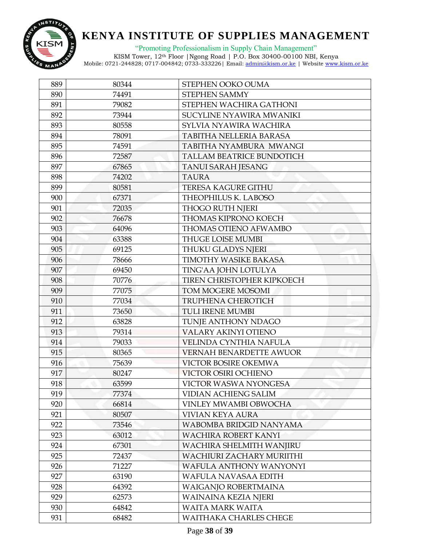

"Promoting Professionalism in Supply Chain Management"

| 889 | 80344 | STEPHEN OOKO OUMA                 |
|-----|-------|-----------------------------------|
| 890 | 74491 | <b>STEPHEN SAMMY</b>              |
| 891 | 79082 | STEPHEN WACHIRA GATHONI           |
| 892 | 73944 | SUCYLINE NYAWIRA MWANIKI          |
| 893 | 80558 | SYLVIA NYAWIRA WACHIRA            |
| 894 | 78091 | <b>TABITHA NELLERIA BARASA</b>    |
| 895 | 74591 | TABITHA NYAMBURA MWANGI           |
| 896 | 72587 | <b>TALLAM BEATRICE BUNDOTICH</b>  |
| 897 | 67865 | <b>TANUI SARAH JESANG</b>         |
| 898 | 74202 | <b>TAURA</b>                      |
| 899 | 80581 | <b>TERESA KAGURE GITHU</b>        |
| 900 | 67371 | THEOPHILUS K. LABOSO              |
| 901 | 72035 | <b>THOGO RUTH NJERI</b>           |
| 902 | 76678 | <b>THOMAS KIPRONO KOECH</b>       |
| 903 | 64096 | THOMAS OTIENO AFWAMBO             |
| 904 | 63388 | <b>THUGE LOISE MUMBI</b>          |
| 905 | 69125 | <b>THUKU GLADYS NJERI</b>         |
| 906 | 78666 | <b>TIMOTHY WASIKE BAKASA</b>      |
| 907 | 69450 | TING'AA JOHN LOTULYA              |
| 908 | 70776 | <b>TIREN CHRISTOPHER KIPKOECH</b> |
| 909 | 77075 | TOM MOGERE MOSOMI                 |
| 910 | 77034 | <b>TRUPHENA CHEROTICH</b>         |
| 911 | 73650 | <b>TULI IRENE MUMBI</b>           |
| 912 | 63828 | TUNJE ANTHONY NDAGO               |
| 913 | 79314 | VALARY AKINYI OTIENO              |
| 914 | 79033 | VELINDA CYNTHIA NAFULA            |
| 915 | 80365 | <b>VERNAH BENARDETTE AWUOR</b>    |
| 916 | 75639 | VICTOR BOSIRE OKEMWA              |
| 917 | 80247 | VICTOR OSIRI OCHIENO              |
| 918 | 63599 | VICTOR WASWA NYONGESA             |
| 919 | 77374 | <b>VIDIAN ACHIENG SALIM</b>       |
| 920 | 66814 | VINLEY MWAMBI OBWOCHA             |
| 921 | 80507 | <b>VIVIAN KEYA AURA</b>           |
| 922 | 73546 | WABOMBA BRIDGID NANYAMA           |
| 923 | 63012 | WACHIRA ROBERT KANYI              |
| 924 | 67301 | WACHIRA SHELMITH WANJIRU          |
| 925 | 72437 | <b>WACHIURI ZACHARY MURIITHI</b>  |
| 926 | 71227 | WAFULA ANTHONY WANYONYI           |
| 927 | 63190 | WAFULA NAVASAA EDITH              |
| 928 | 64392 | <b>WAIGANJO ROBERTMAINA</b>       |
| 929 | 62573 | WAINAINA KEZIA NJERI              |
| 930 | 64842 | <b>WAITA MARK WAITA</b>           |
| 931 | 68482 | WAITHAKA CHARLES CHEGE            |